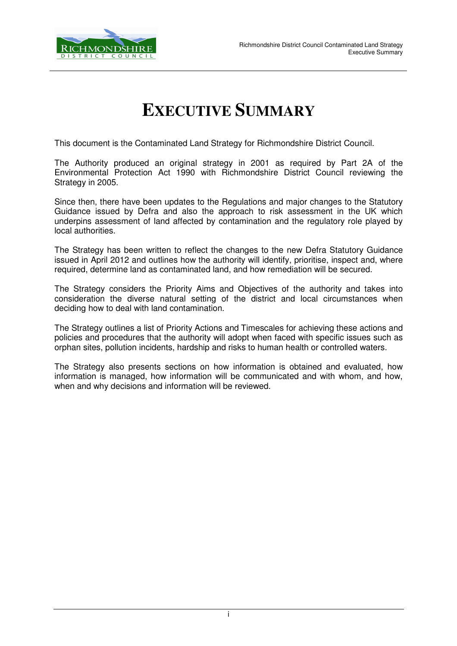

## **EXECUTIVE SUMMARY**

This document is the Contaminated Land Strategy for Richmondshire District Council.

The Authority produced an original strategy in 2001 as required by Part 2A of the Environmental Protection Act 1990 with Richmondshire District Council reviewing the Strategy in 2005.

Since then, there have been updates to the Regulations and major changes to the Statutory Guidance issued by Defra and also the approach to risk assessment in the UK which underpins assessment of land affected by contamination and the regulatory role played by local authorities.

The Strategy has been written to reflect the changes to the new Defra Statutory Guidance issued in April 2012 and outlines how the authority will identify, prioritise, inspect and, where required, determine land as contaminated land, and how remediation will be secured.

The Strategy considers the Priority Aims and Objectives of the authority and takes into consideration the diverse natural setting of the district and local circumstances when deciding how to deal with land contamination.

The Strategy outlines a list of Priority Actions and Timescales for achieving these actions and policies and procedures that the authority will adopt when faced with specific issues such as orphan sites, pollution incidents, hardship and risks to human health or controlled waters.

The Strategy also presents sections on how information is obtained and evaluated, how information is managed, how information will be communicated and with whom, and how, when and why decisions and information will be reviewed.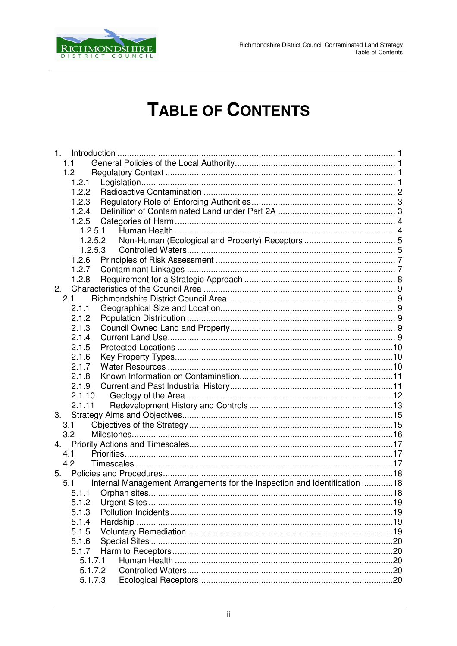

## **TABLE OF CONTENTS**

| 1.1<br>1.2<br>1.2.1<br>1.2.2<br>1.2.3<br>1.2.4<br>1.2.5<br>1.2.5.1<br>1.2.5.2<br>1.2.5.3<br>1.2.6<br>1.2.7<br>1.2.8<br>2.<br>2.1<br>2.1.1<br>2.1.2<br>2.1.3<br>2.1.4<br>2.1.5<br>2.1.6<br>2.1.7<br>2.1.8<br>2.1.9<br>2.1.10<br>2.1.11<br>3.<br>3.1<br>3.2<br>4.1<br>4.2 |
|-------------------------------------------------------------------------------------------------------------------------------------------------------------------------------------------------------------------------------------------------------------------------|
|                                                                                                                                                                                                                                                                         |
|                                                                                                                                                                                                                                                                         |
|                                                                                                                                                                                                                                                                         |
|                                                                                                                                                                                                                                                                         |
|                                                                                                                                                                                                                                                                         |
|                                                                                                                                                                                                                                                                         |
|                                                                                                                                                                                                                                                                         |
|                                                                                                                                                                                                                                                                         |
|                                                                                                                                                                                                                                                                         |
|                                                                                                                                                                                                                                                                         |
|                                                                                                                                                                                                                                                                         |
|                                                                                                                                                                                                                                                                         |
|                                                                                                                                                                                                                                                                         |
|                                                                                                                                                                                                                                                                         |
|                                                                                                                                                                                                                                                                         |
|                                                                                                                                                                                                                                                                         |
|                                                                                                                                                                                                                                                                         |
|                                                                                                                                                                                                                                                                         |
|                                                                                                                                                                                                                                                                         |
|                                                                                                                                                                                                                                                                         |
|                                                                                                                                                                                                                                                                         |
|                                                                                                                                                                                                                                                                         |
|                                                                                                                                                                                                                                                                         |
|                                                                                                                                                                                                                                                                         |
|                                                                                                                                                                                                                                                                         |
|                                                                                                                                                                                                                                                                         |
|                                                                                                                                                                                                                                                                         |
|                                                                                                                                                                                                                                                                         |
|                                                                                                                                                                                                                                                                         |
|                                                                                                                                                                                                                                                                         |
|                                                                                                                                                                                                                                                                         |
|                                                                                                                                                                                                                                                                         |
| Internal Management Arrangements for the Inspection and Identification 18<br>5.1                                                                                                                                                                                        |
|                                                                                                                                                                                                                                                                         |
| 5.1.2                                                                                                                                                                                                                                                                   |
| 5.1.3                                                                                                                                                                                                                                                                   |
| 5.1.4                                                                                                                                                                                                                                                                   |
| 5.1.5                                                                                                                                                                                                                                                                   |
|                                                                                                                                                                                                                                                                         |
| 5.1.6                                                                                                                                                                                                                                                                   |
| 5.1.7                                                                                                                                                                                                                                                                   |
| 5.1.7.1                                                                                                                                                                                                                                                                 |
| 5.1.7.2<br>5.1.7.3                                                                                                                                                                                                                                                      |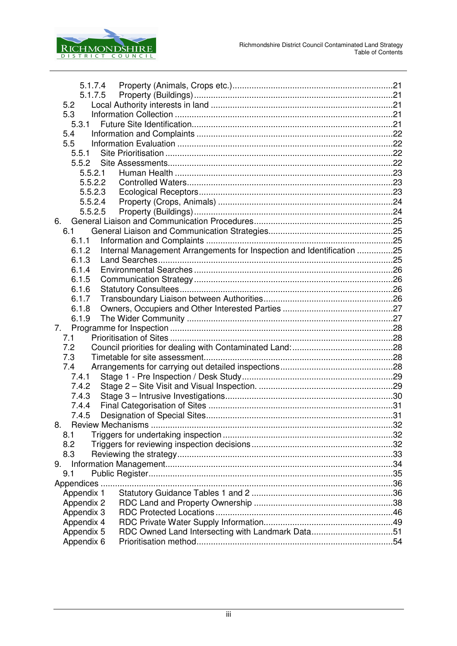

| 5.1.7.4    |                                                                       |  |
|------------|-----------------------------------------------------------------------|--|
|            |                                                                       |  |
| 5.2        |                                                                       |  |
| 5.3        |                                                                       |  |
| 5.3.1      |                                                                       |  |
| 5.4        |                                                                       |  |
| 5.5        |                                                                       |  |
| 5.5.1      |                                                                       |  |
| 5.5.2      |                                                                       |  |
| 5.5.2.1    |                                                                       |  |
| 5.5.2.2    |                                                                       |  |
| 5.5.2.3    |                                                                       |  |
| 5.5.2.4    |                                                                       |  |
| 5.5.2.5    |                                                                       |  |
| 6.         |                                                                       |  |
| 6.1        |                                                                       |  |
| 6.1.1      |                                                                       |  |
| 6.1.2      | Internal Management Arrangements for Inspection and Identification 25 |  |
| 6.1.3      |                                                                       |  |
| 6.1.4      |                                                                       |  |
| 6.1.5      |                                                                       |  |
| 6.1.6      |                                                                       |  |
| 6.1.7      |                                                                       |  |
| 6.1.8      |                                                                       |  |
| 6.1.9      |                                                                       |  |
| 7.         |                                                                       |  |
| 7.1        |                                                                       |  |
| 7.2        |                                                                       |  |
| 7.3        |                                                                       |  |
| 7.4        |                                                                       |  |
| 7.4.1      |                                                                       |  |
| 7.4.2      |                                                                       |  |
| 7.4.3      |                                                                       |  |
| 7.4.4      |                                                                       |  |
| 7.4.5      |                                                                       |  |
| 8.         |                                                                       |  |
| 8.1        |                                                                       |  |
| 8.2        |                                                                       |  |
| 8.3        |                                                                       |  |
| 9.         |                                                                       |  |
| 9.1        |                                                                       |  |
| Appendices |                                                                       |  |
| Appendix 1 |                                                                       |  |
| Appendix 2 |                                                                       |  |
| Appendix 3 |                                                                       |  |
| Appendix 4 |                                                                       |  |
| Appendix 5 | RDC Owned Land Intersecting with Landmark Data51                      |  |
| Appendix 6 |                                                                       |  |
|            |                                                                       |  |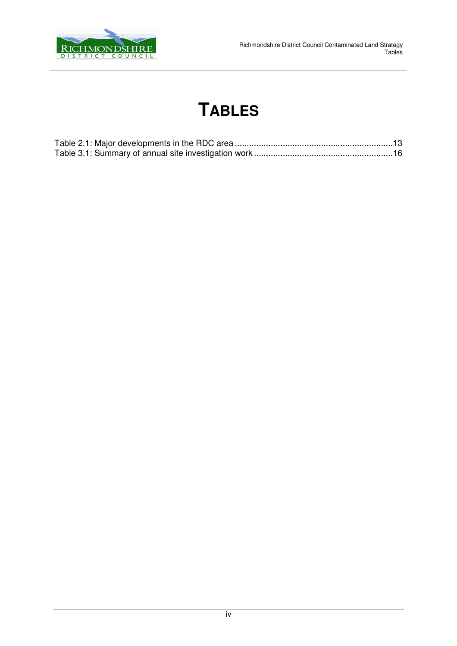

# **TABLES**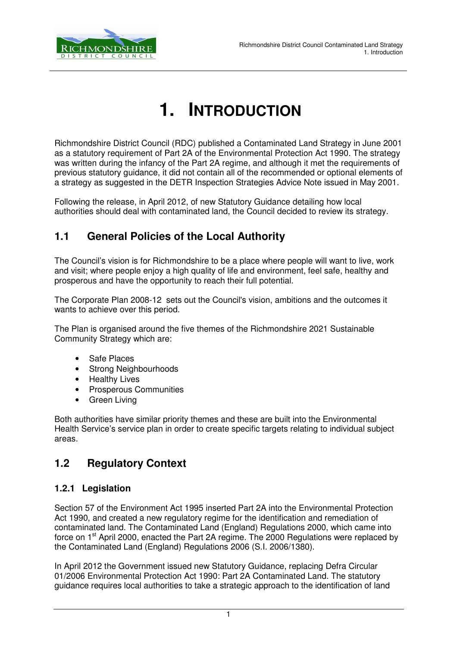

# **1. INTRODUCTION**

Richmondshire District Council (RDC) published a Contaminated Land Strategy in June 2001 as a statutory requirement of Part 2A of the Environmental Protection Act 1990. The strategy was written during the infancy of the Part 2A regime, and although it met the requirements of previous statutory guidance, it did not contain all of the recommended or optional elements of a strategy as suggested in the DETR Inspection Strategies Advice Note issued in May 2001.

Following the release, in April 2012, of new Statutory Guidance detailing how local authorities should deal with contaminated land, the Council decided to review its strategy.

## **1.1 General Policies of the Local Authority**

The Council's vision is for Richmondshire to be a place where people will want to live, work and visit; where people enjoy a high quality of life and environment, feel safe, healthy and prosperous and have the opportunity to reach their full potential.

The Corporate Plan 2008-12 sets out the Council's vision, ambitions and the outcomes it wants to achieve over this period.

The Plan is organised around the five themes of the Richmondshire 2021 Sustainable Community Strategy which are:

- Safe Places
- Strong Neighbourhoods
- **Healthy Lives**
- Prosperous Communities
- Green Living

Both authorities have similar priority themes and these are built into the Environmental Health Service's service plan in order to create specific targets relating to individual subject areas.

## **1.2 Regulatory Context**

#### **1.2.1 Legislation**

Section 57 of the Environment Act 1995 inserted Part 2A into the Environmental Protection Act 1990, and created a new regulatory regime for the identification and remediation of contaminated land. The Contaminated Land (England) Regulations 2000, which came into force on 1<sup>st</sup> April 2000, enacted the Part 2A regime. The 2000 Regulations were replaced by the Contaminated Land (England) Regulations 2006 (S.I. 2006/1380).

In April 2012 the Government issued new Statutory Guidance, replacing Defra Circular 01/2006 Environmental Protection Act 1990: Part 2A Contaminated Land. The statutory guidance requires local authorities to take a strategic approach to the identification of land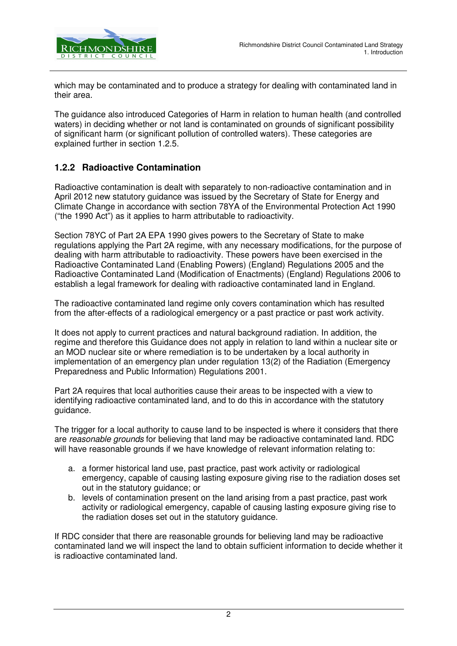

which may be contaminated and to produce a strategy for dealing with contaminated land in their area.

The guidance also introduced Categories of Harm in relation to human health (and controlled waters) in deciding whether or not land is contaminated on grounds of significant possibility of significant harm (or significant pollution of controlled waters). These categories are explained further in section 1.2.5.

#### **1.2.2 Radioactive Contamination**

Radioactive contamination is dealt with separately to non-radioactive contamination and in April 2012 new statutory guidance was issued by the Secretary of State for Energy and Climate Change in accordance with section 78YA of the Environmental Protection Act 1990 ("the 1990 Act") as it applies to harm attributable to radioactivity.

Section 78YC of Part 2A EPA 1990 gives powers to the Secretary of State to make regulations applying the Part 2A regime, with any necessary modifications, for the purpose of dealing with harm attributable to radioactivity. These powers have been exercised in the Radioactive Contaminated Land (Enabling Powers) (England) Regulations 2005 and the Radioactive Contaminated Land (Modification of Enactments) (England) Regulations 2006 to establish a legal framework for dealing with radioactive contaminated land in England.

The radioactive contaminated land regime only covers contamination which has resulted from the after-effects of a radiological emergency or a past practice or past work activity.

It does not apply to current practices and natural background radiation. In addition, the regime and therefore this Guidance does not apply in relation to land within a nuclear site or an MOD nuclear site or where remediation is to be undertaken by a local authority in implementation of an emergency plan under regulation 13(2) of the Radiation (Emergency Preparedness and Public Information) Regulations 2001.

Part 2A requires that local authorities cause their areas to be inspected with a view to identifying radioactive contaminated land, and to do this in accordance with the statutory guidance.

The trigger for a local authority to cause land to be inspected is where it considers that there are reasonable grounds for believing that land may be radioactive contaminated land. RDC will have reasonable grounds if we have knowledge of relevant information relating to:

- a. a former historical land use, past practice, past work activity or radiological emergency, capable of causing lasting exposure giving rise to the radiation doses set out in the statutory guidance; or
- b. levels of contamination present on the land arising from a past practice, past work activity or radiological emergency, capable of causing lasting exposure giving rise to the radiation doses set out in the statutory guidance.

If RDC consider that there are reasonable grounds for believing land may be radioactive contaminated land we will inspect the land to obtain sufficient information to decide whether it is radioactive contaminated land.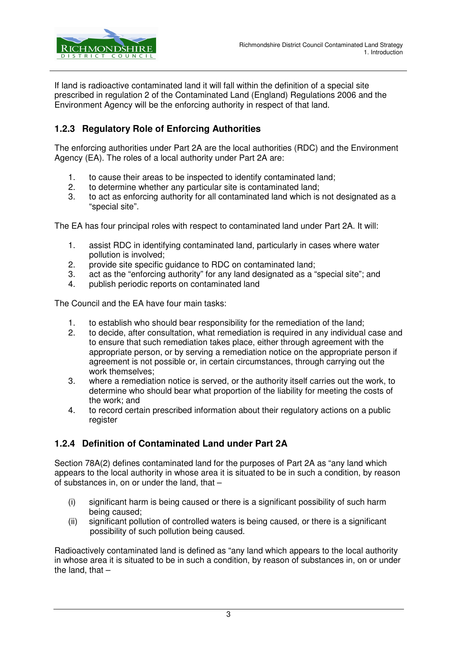

If land is radioactive contaminated land it will fall within the definition of a special site prescribed in regulation 2 of the Contaminated Land (England) Regulations 2006 and the Environment Agency will be the enforcing authority in respect of that land.

### **1.2.3 Regulatory Role of Enforcing Authorities**

The enforcing authorities under Part 2A are the local authorities (RDC) and the Environment Agency (EA). The roles of a local authority under Part 2A are:

- 1. to cause their areas to be inspected to identify contaminated land;
- 2. to determine whether any particular site is contaminated land;
- 3. to act as enforcing authority for all contaminated land which is not designated as a "special site".

The EA has four principal roles with respect to contaminated land under Part 2A. It will:

- 1. assist RDC in identifying contaminated land, particularly in cases where water pollution is involved;
- 2. provide site specific guidance to RDC on contaminated land;
- 3. act as the "enforcing authority" for any land designated as a "special site"; and
- 4. publish periodic reports on contaminated land

The Council and the EA have four main tasks:

- 1. to establish who should bear responsibility for the remediation of the land;
- 2. to decide, after consultation, what remediation is required in any individual case and to ensure that such remediation takes place, either through agreement with the appropriate person, or by serving a remediation notice on the appropriate person if agreement is not possible or, in certain circumstances, through carrying out the work themselves;
- 3. where a remediation notice is served, or the authority itself carries out the work, to determine who should bear what proportion of the liability for meeting the costs of the work; and
- 4. to record certain prescribed information about their regulatory actions on a public register

#### **1.2.4 Definition of Contaminated Land under Part 2A**

Section 78A(2) defines contaminated land for the purposes of Part 2A as "any land which appears to the local authority in whose area it is situated to be in such a condition, by reason of substances in, on or under the land, that –

- (i) significant harm is being caused or there is a significant possibility of such harm being caused;
- (ii) significant pollution of controlled waters is being caused, or there is a significant possibility of such pollution being caused.

Radioactively contaminated land is defined as "any land which appears to the local authority in whose area it is situated to be in such a condition, by reason of substances in, on or under the land, that  $-$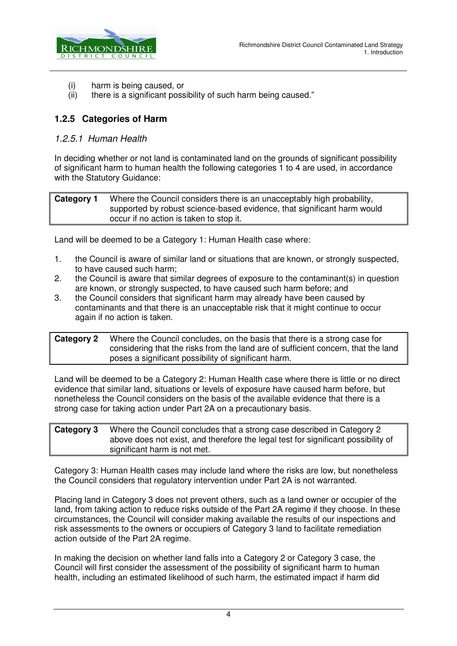

- (i) harm is being caused, or
- (ii) there is a significant possibility of such harm being caused."

#### **1.2.5 Categories of Harm**

#### 1.2.5.1 Human Health

In deciding whether or not land is contaminated land on the grounds of significant possibility of significant harm to human health the following categories 1 to 4 are used, in accordance with the Statutory Guidance:

**Category 1** Where the Council considers there is an unacceptably high probability, supported by robust science-based evidence, that significant harm would occur if no action is taken to stop it.

Land will be deemed to be a Category 1: Human Health case where:

- 1. the Council is aware of similar land or situations that are known, or strongly suspected, to have caused such harm;
- 2. the Council is aware that similar degrees of exposure to the contaminant(s) in question are known, or strongly suspected, to have caused such harm before; and
- 3. the Council considers that significant harm may already have been caused by contaminants and that there is an unacceptable risk that it might continue to occur again if no action is taken.

**Category 2** Where the Council concludes, on the basis that there is a strong case for considering that the risks from the land are of sufficient concern, that the land poses a significant possibility of significant harm.

Land will be deemed to be a Category 2: Human Health case where there is little or no direct evidence that similar land, situations or levels of exposure have caused harm before, but nonetheless the Council considers on the basis of the available evidence that there is a strong case for taking action under Part 2A on a precautionary basis.

| Category 3 | Where the Council concludes that a strong case described in Category 2            |
|------------|-----------------------------------------------------------------------------------|
|            | above does not exist, and therefore the legal test for significant possibility of |
|            | significant harm is not met.                                                      |

Category 3: Human Health cases may include land where the risks are low, but nonetheless the Council considers that regulatory intervention under Part 2A is not warranted.

Placing land in Category 3 does not prevent others, such as a land owner or occupier of the land, from taking action to reduce risks outside of the Part 2A regime if they choose. In these circumstances, the Council will consider making available the results of our inspections and risk assessments to the owners or occupiers of Category 3 land to facilitate remediation action outside of the Part 2A regime.

In making the decision on whether land falls into a Category 2 or Category 3 case, the Council will first consider the assessment of the possibility of significant harm to human health, including an estimated likelihood of such harm, the estimated impact if harm did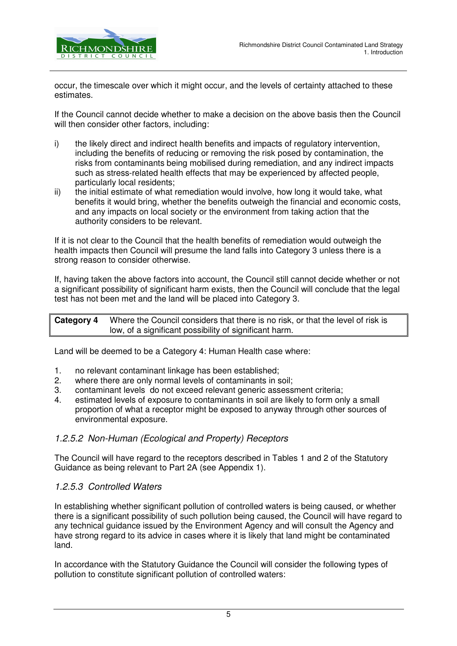

occur, the timescale over which it might occur, and the levels of certainty attached to these estimates.

If the Council cannot decide whether to make a decision on the above basis then the Council will then consider other factors, including:

- i) the likely direct and indirect health benefits and impacts of regulatory intervention, including the benefits of reducing or removing the risk posed by contamination, the risks from contaminants being mobilised during remediation, and any indirect impacts such as stress-related health effects that may be experienced by affected people, particularly local residents;
- ii) the initial estimate of what remediation would involve, how long it would take, what benefits it would bring, whether the benefits outweigh the financial and economic costs, and any impacts on local society or the environment from taking action that the authority considers to be relevant.

If it is not clear to the Council that the health benefits of remediation would outweigh the health impacts then Council will presume the land falls into Category 3 unless there is a strong reason to consider otherwise.

If, having taken the above factors into account, the Council still cannot decide whether or not a significant possibility of significant harm exists, then the Council will conclude that the legal test has not been met and the land will be placed into Category 3.

**Category 4** Where the Council considers that there is no risk, or that the level of risk is low, of a significant possibility of significant harm.

Land will be deemed to be a Category 4: Human Health case where:

- 1. no relevant contaminant linkage has been established;
- 2. where there are only normal levels of contaminants in soil;
- 3. contaminant levels do not exceed relevant generic assessment criteria;
- 4. estimated levels of exposure to contaminants in soil are likely to form only a small proportion of what a receptor might be exposed to anyway through other sources of environmental exposure.

#### 1.2.5.2 Non-Human (Ecological and Property) Receptors

The Council will have regard to the receptors described in Tables 1 and 2 of the Statutory Guidance as being relevant to Part 2A (see Appendix 1).

#### 1.2.5.3 Controlled Waters

In establishing whether significant pollution of controlled waters is being caused, or whether there is a significant possibility of such pollution being caused, the Council will have regard to any technical guidance issued by the Environment Agency and will consult the Agency and have strong regard to its advice in cases where it is likely that land might be contaminated land.

In accordance with the Statutory Guidance the Council will consider the following types of pollution to constitute significant pollution of controlled waters: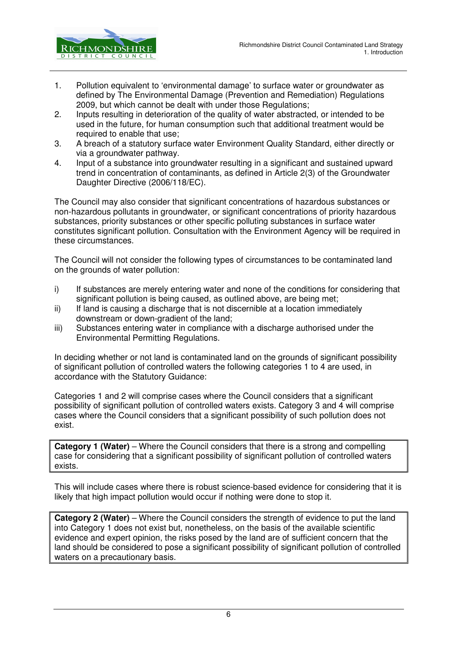

- 1. Pollution equivalent to 'environmental damage' to surface water or groundwater as defined by The Environmental Damage (Prevention and Remediation) Regulations 2009, but which cannot be dealt with under those Regulations;
- 2. Inputs resulting in deterioration of the quality of water abstracted, or intended to be used in the future, for human consumption such that additional treatment would be required to enable that use:
- 3. A breach of a statutory surface water Environment Quality Standard, either directly or via a groundwater pathway.
- 4. Input of a substance into groundwater resulting in a significant and sustained upward trend in concentration of contaminants, as defined in Article 2(3) of the Groundwater Daughter Directive (2006/118/EC).

The Council may also consider that significant concentrations of hazardous substances or non-hazardous pollutants in groundwater, or significant concentrations of priority hazardous substances, priority substances or other specific polluting substances in surface water constitutes significant pollution. Consultation with the Environment Agency will be required in these circumstances.

The Council will not consider the following types of circumstances to be contaminated land on the grounds of water pollution:

- i) If substances are merely entering water and none of the conditions for considering that significant pollution is being caused, as outlined above, are being met;
- ii) If land is causing a discharge that is not discernible at a location immediately downstream or down-gradient of the land;
- iii) Substances entering water in compliance with a discharge authorised under the Environmental Permitting Regulations.

In deciding whether or not land is contaminated land on the grounds of significant possibility of significant pollution of controlled waters the following categories 1 to 4 are used, in accordance with the Statutory Guidance:

Categories 1 and 2 will comprise cases where the Council considers that a significant possibility of significant pollution of controlled waters exists. Category 3 and 4 will comprise cases where the Council considers that a significant possibility of such pollution does not exist.

**Category 1 (Water)** – Where the Council considers that there is a strong and compelling case for considering that a significant possibility of significant pollution of controlled waters exists.

This will include cases where there is robust science-based evidence for considering that it is likely that high impact pollution would occur if nothing were done to stop it.

**Category 2 (Water)** – Where the Council considers the strength of evidence to put the land into Category 1 does not exist but, nonetheless, on the basis of the available scientific evidence and expert opinion, the risks posed by the land are of sufficient concern that the land should be considered to pose a significant possibility of significant pollution of controlled waters on a precautionary basis.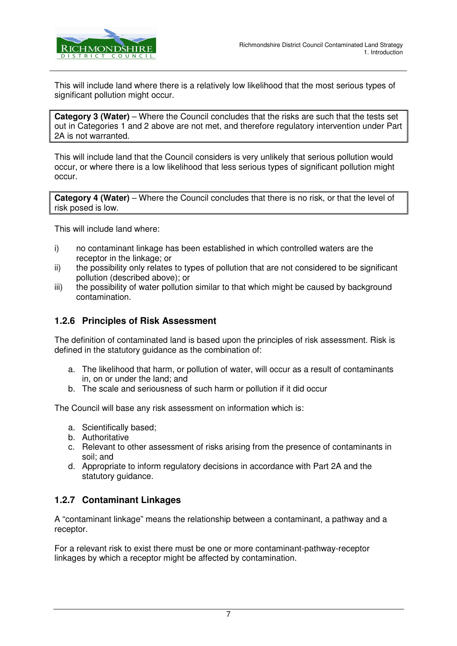

This will include land where there is a relatively low likelihood that the most serious types of significant pollution might occur.

**Category 3 (Water)** – Where the Council concludes that the risks are such that the tests set out in Categories 1 and 2 above are not met, and therefore regulatory intervention under Part 2A is not warranted.

This will include land that the Council considers is very unlikely that serious pollution would occur, or where there is a low likelihood that less serious types of significant pollution might occur.

**Category 4 (Water)** – Where the Council concludes that there is no risk, or that the level of risk posed is low.

This will include land where:

- i) no contaminant linkage has been established in which controlled waters are the receptor in the linkage; or
- ii) the possibility only relates to types of pollution that are not considered to be significant pollution (described above); or
- iii) the possibility of water pollution similar to that which might be caused by background contamination.

#### **1.2.6 Principles of Risk Assessment**

The definition of contaminated land is based upon the principles of risk assessment. Risk is defined in the statutory guidance as the combination of:

- a. The likelihood that harm, or pollution of water, will occur as a result of contaminants in, on or under the land; and
- b. The scale and seriousness of such harm or pollution if it did occur

The Council will base any risk assessment on information which is:

- a. Scientifically based;
- b. Authoritative
- c. Relevant to other assessment of risks arising from the presence of contaminants in soil; and
- d. Appropriate to inform regulatory decisions in accordance with Part 2A and the statutory guidance.

#### **1.2.7 Contaminant Linkages**

A "contaminant linkage" means the relationship between a contaminant, a pathway and a receptor.

For a relevant risk to exist there must be one or more contaminant-pathway-receptor linkages by which a receptor might be affected by contamination.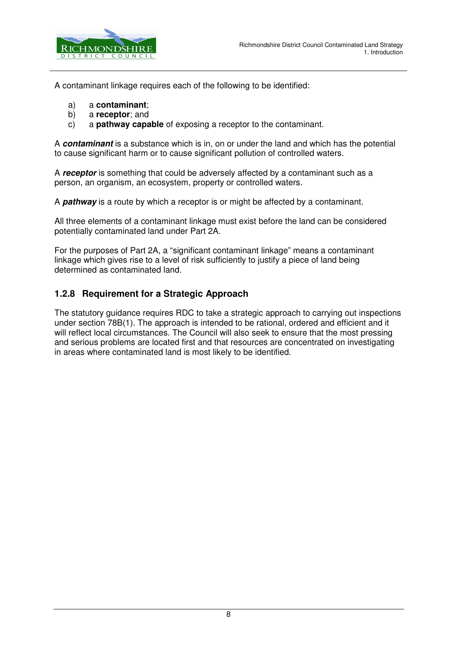

A contaminant linkage requires each of the following to be identified:

- a) a **contaminant**;
- b) a **receptor**; and
- c) a **pathway capable** of exposing a receptor to the contaminant.

A **contaminant** is a substance which is in, on or under the land and which has the potential to cause significant harm or to cause significant pollution of controlled waters.

A **receptor** is something that could be adversely affected by a contaminant such as a person, an organism, an ecosystem, property or controlled waters.

A **pathway** is a route by which a receptor is or might be affected by a contaminant.

All three elements of a contaminant linkage must exist before the land can be considered potentially contaminated land under Part 2A.

For the purposes of Part 2A, a "significant contaminant linkage" means a contaminant linkage which gives rise to a level of risk sufficiently to justify a piece of land being determined as contaminated land.

#### **1.2.8 Requirement for a Strategic Approach**

The statutory guidance requires RDC to take a strategic approach to carrying out inspections under section 78B(1). The approach is intended to be rational, ordered and efficient and it will reflect local circumstances. The Council will also seek to ensure that the most pressing and serious problems are located first and that resources are concentrated on investigating in areas where contaminated land is most likely to be identified.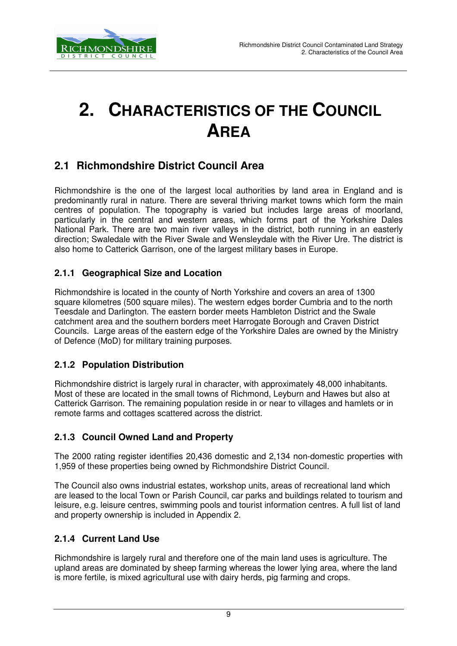

# **2. CHARACTERISTICS OF THE COUNCIL AREA**

## **2.1 Richmondshire District Council Area**

Richmondshire is the one of the largest local authorities by land area in England and is predominantly rural in nature. There are several thriving market towns which form the main centres of population. The topography is varied but includes large areas of moorland, particularly in the central and western areas, which forms part of the Yorkshire Dales National Park. There are two main river valleys in the district, both running in an easterly direction; Swaledale with the River Swale and Wensleydale with the River Ure. The district is also home to Catterick Garrison, one of the largest military bases in Europe.

#### **2.1.1 Geographical Size and Location**

Richmondshire is located in the county of North Yorkshire and covers an area of 1300 square kilometres (500 square miles). The western edges border Cumbria and to the north Teesdale and Darlington. The eastern border meets Hambleton District and the Swale catchment area and the southern borders meet Harrogate Borough and Craven District Councils. Large areas of the eastern edge of the Yorkshire Dales are owned by the Ministry of Defence (MoD) for military training purposes.

#### **2.1.2 Population Distribution**

Richmondshire district is largely rural in character, with approximately 48,000 inhabitants. Most of these are located in the small towns of Richmond, Leyburn and Hawes but also at Catterick Garrison. The remaining population reside in or near to villages and hamlets or in remote farms and cottages scattered across the district.

### **2.1.3 Council Owned Land and Property**

The 2000 rating register identifies 20,436 domestic and 2,134 non-domestic properties with 1,959 of these properties being owned by Richmondshire District Council.

The Council also owns industrial estates, workshop units, areas of recreational land which are leased to the local Town or Parish Council, car parks and buildings related to tourism and leisure, e.g. leisure centres, swimming pools and tourist information centres. A full list of land and property ownership is included in Appendix 2.

#### **2.1.4 Current Land Use**

Richmondshire is largely rural and therefore one of the main land uses is agriculture. The upland areas are dominated by sheep farming whereas the lower lying area, where the land is more fertile, is mixed agricultural use with dairy herds, pig farming and crops.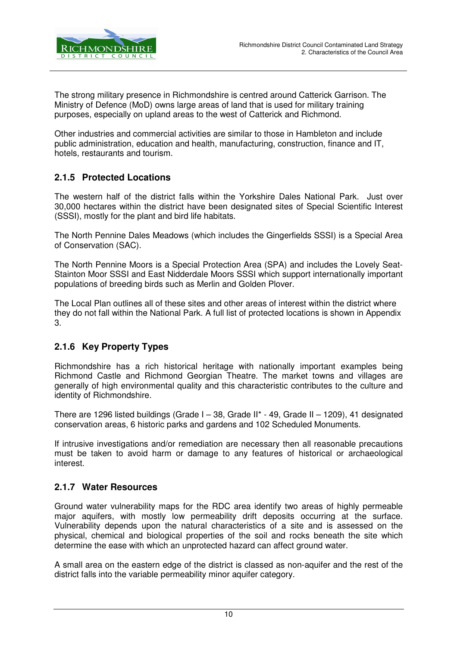

The strong military presence in Richmondshire is centred around Catterick Garrison. The Ministry of Defence (MoD) owns large areas of land that is used for military training purposes, especially on upland areas to the west of Catterick and Richmond.

Other industries and commercial activities are similar to those in Hambleton and include public administration, education and health, manufacturing, construction, finance and IT, hotels, restaurants and tourism.

#### **2.1.5 Protected Locations**

The western half of the district falls within the Yorkshire Dales National Park. Just over 30,000 hectares within the district have been designated sites of Special Scientific Interest (SSSI), mostly for the plant and bird life habitats.

The North Pennine Dales Meadows (which includes the Gingerfields SSSI) is a Special Area of Conservation (SAC).

The North Pennine Moors is a Special Protection Area (SPA) and includes the Lovely Seat-Stainton Moor SSSI and East Nidderdale Moors SSSI which support internationally important populations of breeding birds such as Merlin and Golden Plover.

The Local Plan outlines all of these sites and other areas of interest within the district where they do not fall within the National Park. A full list of protected locations is shown in Appendix 3.

#### **2.1.6 Key Property Types**

Richmondshire has a rich historical heritage with nationally important examples being Richmond Castle and Richmond Georgian Theatre. The market towns and villages are generally of high environmental quality and this characteristic contributes to the culture and identity of Richmondshire.

There are 1296 listed buildings (Grade I – 38, Grade II\* - 49, Grade II – 1209), 41 designated conservation areas, 6 historic parks and gardens and 102 Scheduled Monuments.

If intrusive investigations and/or remediation are necessary then all reasonable precautions must be taken to avoid harm or damage to any features of historical or archaeological interest.

#### **2.1.7 Water Resources**

Ground water vulnerability maps for the RDC area identify two areas of highly permeable major aquifers, with mostly low permeability drift deposits occurring at the surface. Vulnerability depends upon the natural characteristics of a site and is assessed on the physical, chemical and biological properties of the soil and rocks beneath the site which determine the ease with which an unprotected hazard can affect ground water.

A small area on the eastern edge of the district is classed as non-aquifer and the rest of the district falls into the variable permeability minor aquifer category.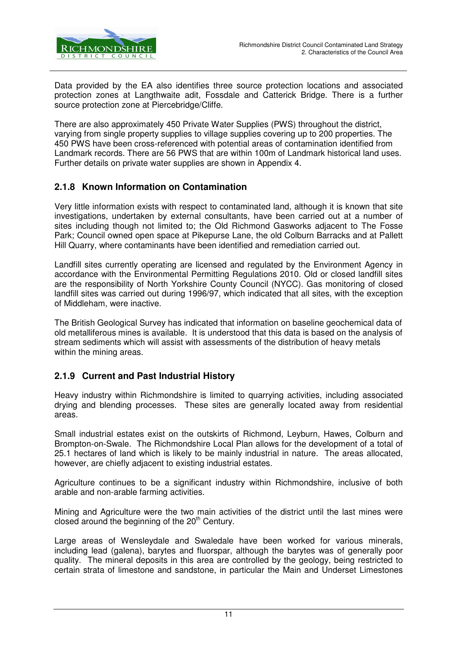

Data provided by the EA also identifies three source protection locations and associated protection zones at Langthwaite adit, Fossdale and Catterick Bridge. There is a further source protection zone at Piercebridge/Cliffe.

There are also approximately 450 Private Water Supplies (PWS) throughout the district, varying from single property supplies to village supplies covering up to 200 properties. The 450 PWS have been cross-referenced with potential areas of contamination identified from Landmark records. There are 56 PWS that are within 100m of Landmark historical land uses. Further details on private water supplies are shown in Appendix 4.

#### **2.1.8 Known Information on Contamination**

Very little information exists with respect to contaminated land, although it is known that site investigations, undertaken by external consultants, have been carried out at a number of sites including though not limited to; the Old Richmond Gasworks adjacent to The Fosse Park; Council owned open space at Pikepurse Lane, the old Colburn Barracks and at Pallett Hill Quarry, where contaminants have been identified and remediation carried out.

Landfill sites currently operating are licensed and regulated by the Environment Agency in accordance with the Environmental Permitting Regulations 2010. Old or closed landfill sites are the responsibility of North Yorkshire County Council (NYCC). Gas monitoring of closed landfill sites was carried out during 1996/97, which indicated that all sites, with the exception of Middleham, were inactive.

The British Geological Survey has indicated that information on baseline geochemical data of old metalliferous mines is available. It is understood that this data is based on the analysis of stream sediments which will assist with assessments of the distribution of heavy metals within the mining areas.

#### **2.1.9 Current and Past Industrial History**

Heavy industry within Richmondshire is limited to quarrying activities, including associated drying and blending processes. These sites are generally located away from residential areas.

Small industrial estates exist on the outskirts of Richmond, Leyburn, Hawes, Colburn and Brompton-on-Swale. The Richmondshire Local Plan allows for the development of a total of 25.1 hectares of land which is likely to be mainly industrial in nature. The areas allocated, however, are chiefly adjacent to existing industrial estates.

Agriculture continues to be a significant industry within Richmondshire, inclusive of both arable and non-arable farming activities.

Mining and Agriculture were the two main activities of the district until the last mines were closed around the beginning of the  $20<sup>th</sup>$  Century.

Large areas of Wensleydale and Swaledale have been worked for various minerals, including lead (galena), barytes and fluorspar, although the barytes was of generally poor quality. The mineral deposits in this area are controlled by the geology, being restricted to certain strata of limestone and sandstone, in particular the Main and Underset Limestones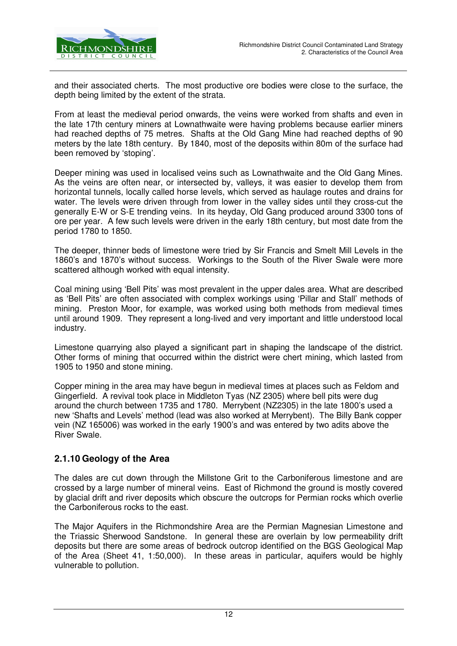

and their associated cherts. The most productive ore bodies were close to the surface, the depth being limited by the extent of the strata.

From at least the medieval period onwards, the veins were worked from shafts and even in the late 17th century miners at Lownathwaite were having problems because earlier miners had reached depths of 75 metres. Shafts at the Old Gang Mine had reached depths of 90 meters by the late 18th century. By 1840, most of the deposits within 80m of the surface had been removed by 'stoping'.

Deeper mining was used in localised veins such as Lownathwaite and the Old Gang Mines. As the veins are often near, or intersected by, valleys, it was easier to develop them from horizontal tunnels, locally called horse levels, which served as haulage routes and drains for water. The levels were driven through from lower in the valley sides until they cross-cut the generally E-W or S-E trending veins. In its heyday, Old Gang produced around 3300 tons of ore per year. A few such levels were driven in the early 18th century, but most date from the period 1780 to 1850.

The deeper, thinner beds of limestone were tried by Sir Francis and Smelt Mill Levels in the 1860's and 1870's without success. Workings to the South of the River Swale were more scattered although worked with equal intensity.

Coal mining using 'Bell Pits' was most prevalent in the upper dales area. What are described as 'Bell Pits' are often associated with complex workings using 'Pillar and Stall' methods of mining. Preston Moor, for example, was worked using both methods from medieval times until around 1909. They represent a long-lived and very important and little understood local industry.

Limestone quarrying also played a significant part in shaping the landscape of the district. Other forms of mining that occurred within the district were chert mining, which lasted from 1905 to 1950 and stone mining.

Copper mining in the area may have begun in medieval times at places such as Feldom and Gingerfield. A revival took place in Middleton Tyas (NZ 2305) where bell pits were dug around the church between 1735 and 1780. Merrybent (NZ2305) in the late 1800's used a new 'Shafts and Levels' method (lead was also worked at Merrybent). The Billy Bank copper vein (NZ 165006) was worked in the early 1900's and was entered by two adits above the River Swale.

#### **2.1.10 Geology of the Area**

The dales are cut down through the Millstone Grit to the Carboniferous limestone and are crossed by a large number of mineral veins. East of Richmond the ground is mostly covered by glacial drift and river deposits which obscure the outcrops for Permian rocks which overlie the Carboniferous rocks to the east.

The Major Aquifers in the Richmondshire Area are the Permian Magnesian Limestone and the Triassic Sherwood Sandstone. In general these are overlain by low permeability drift deposits but there are some areas of bedrock outcrop identified on the BGS Geological Map of the Area (Sheet 41, 1:50,000). In these areas in particular, aquifers would be highly vulnerable to pollution.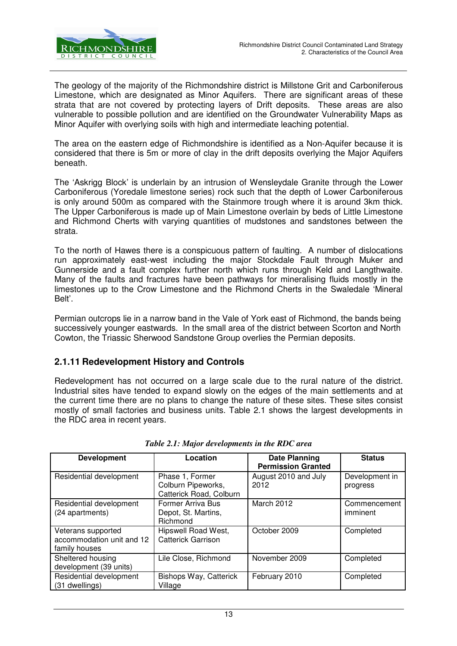

The geology of the majority of the Richmondshire district is Millstone Grit and Carboniferous Limestone, which are designated as Minor Aquifers. There are significant areas of these strata that are not covered by protecting layers of Drift deposits. These areas are also vulnerable to possible pollution and are identified on the Groundwater Vulnerability Maps as Minor Aquifer with overlying soils with high and intermediate leaching potential.

The area on the eastern edge of Richmondshire is identified as a Non-Aquifer because it is considered that there is 5m or more of clay in the drift deposits overlying the Major Aquifers beneath.

The 'Askrigg Block' is underlain by an intrusion of Wensleydale Granite through the Lower Carboniferous (Yoredale limestone series) rock such that the depth of Lower Carboniferous is only around 500m as compared with the Stainmore trough where it is around 3km thick. The Upper Carboniferous is made up of Main Limestone overlain by beds of Little Limestone and Richmond Cherts with varying quantities of mudstones and sandstones between the strata.

To the north of Hawes there is a conspicuous pattern of faulting. A number of dislocations run approximately east-west including the major Stockdale Fault through Muker and Gunnerside and a fault complex further north which runs through Keld and Langthwaite. Many of the faults and fractures have been pathways for mineralising fluids mostly in the limestones up to the Crow Limestone and the Richmond Cherts in the Swaledale 'Mineral Belt'.

Permian outcrops lie in a narrow band in the Vale of York east of Richmond, the bands being successively younger eastwards. In the small area of the district between Scorton and North Cowton, the Triassic Sherwood Sandstone Group overlies the Permian deposits.

### **2.1.11 Redevelopment History and Controls**

Redevelopment has not occurred on a large scale due to the rural nature of the district. Industrial sites have tended to expand slowly on the edges of the main settlements and at the current time there are no plans to change the nature of these sites. These sites consist mostly of small factories and business units. Table 2.1 shows the largest developments in the RDC area in recent years.

| <b>Development</b>                                               | Location                                                         | <b>Date Planning</b><br><b>Permission Granted</b> | <b>Status</b>              |
|------------------------------------------------------------------|------------------------------------------------------------------|---------------------------------------------------|----------------------------|
| Residential development                                          | Phase 1, Former<br>Colburn Pipeworks,<br>Catterick Road, Colburn | August 2010 and July<br>2012                      | Development in<br>progress |
| Residential development<br>(24 apartments)                       | Former Arriva Bus<br>Depot, St. Martins,<br>Richmond             | March 2012                                        | Commencement<br>imminent   |
| Veterans supported<br>accommodation unit and 12<br>family houses | Hipswell Road West,<br><b>Catterick Garrison</b>                 | October 2009                                      | Completed                  |
| Sheltered housing<br>development (39 units)                      | Lile Close, Richmond                                             | November 2009                                     | Completed                  |
| Residential development<br>(31 dwellings)                        | Bishops Way, Catterick<br>Village                                | February 2010                                     | Completed                  |

|  | Table 2.1: Major developments in the RDC area |  |
|--|-----------------------------------------------|--|
|--|-----------------------------------------------|--|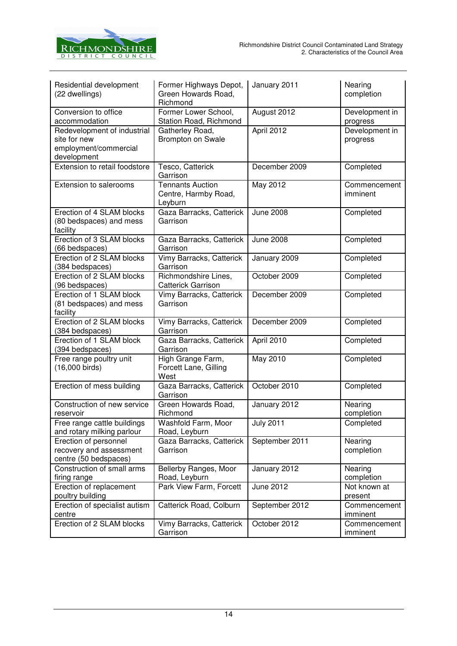

| Residential development<br>(22 dwellings)                                           | Former Highways Depot,<br>Green Howards Road,<br>Richmond  | January 2011     | Nearing<br>completion      |
|-------------------------------------------------------------------------------------|------------------------------------------------------------|------------------|----------------------------|
| Conversion to office<br>accommodation                                               | Former Lower School,<br>Station Road, Richmond             | August 2012      | Development in<br>progress |
| Redevelopment of industrial<br>site for new<br>employment/commercial<br>development | Gatherley Road,<br><b>Brompton on Swale</b>                | April 2012       | Development in<br>progress |
| <b>Extension to retail foodstore</b>                                                | Tesco, Catterick<br>Garrison                               | December 2009    | Completed                  |
| Extension to salerooms                                                              | <b>Tennants Auction</b><br>Centre, Harmby Road,<br>Leyburn | May 2012         | Commencement<br>imminent   |
| Erection of 4 SLAM blocks<br>(80 bedspaces) and mess<br>facility                    | Gaza Barracks, Catterick<br>Garrison                       | <b>June 2008</b> | Completed                  |
| Erection of 3 SLAM blocks<br>(66 bedspaces)                                         | Gaza Barracks, Catterick<br>Garrison                       | <b>June 2008</b> | Completed                  |
| Erection of 2 SLAM blocks<br>(384 bedspaces)                                        | Vimy Barracks, Catterick<br>Garrison                       | January 2009     | Completed                  |
| Erection of 2 SLAM blocks<br>(96 bedspaces)                                         | Richmondshire Lines,<br><b>Catterick Garrison</b>          | October 2009     | Completed                  |
| Erection of 1 SLAM block<br>(81 bedspaces) and mess<br>facility                     | Vimy Barracks, Catterick<br>Garrison                       | December 2009    | Completed                  |
| Erection of 2 SLAM blocks<br>(384 bedspaces)                                        | Vimy Barracks, Catterick<br>Garrison                       | December 2009    | Completed                  |
| Erection of 1 SLAM block<br>(394 bedspaces)                                         | Gaza Barracks, Catterick<br>Garrison                       | April 2010       | Completed                  |
| Free range poultry unit<br>(16,000 birds)                                           | High Grange Farm,<br>Forcett Lane, Gilling<br>West         | May 2010         | Completed                  |
| Erection of mess building                                                           | Gaza Barracks, Catterick<br>Garrison                       | October 2010     | Completed                  |
| Construction of new service<br>reservoir                                            | Green Howards Road,<br>Richmond                            | January 2012     | Nearing<br>completion      |
| Free range cattle buildings<br>and rotary milking parlour                           | Washfold Farm, Moor<br>Road, Leyburn                       | <b>July 2011</b> | Completed                  |
| Erection of personnel<br>recovery and assessment<br>centre (50 bedspaces)           | Gaza Barracks, Catterick<br>Garrison                       | September 2011   | Nearing<br>completion      |
| Construction of small arms<br>firing range                                          | Bellerby Ranges, Moor<br>Road, Leyburn                     | January 2012     | Nearing<br>completion      |
| Erection of replacement<br>poultry building                                         | Park View Farm, Forcett                                    | June 2012        | Not known at<br>present    |
| Erection of specialist autism<br>centre                                             | Catterick Road, Colburn                                    | September 2012   | Commencement<br>imminent   |
| Erection of 2 SLAM blocks                                                           | Vimy Barracks, Catterick<br>Garrison                       | October 2012     | Commencement<br>imminent   |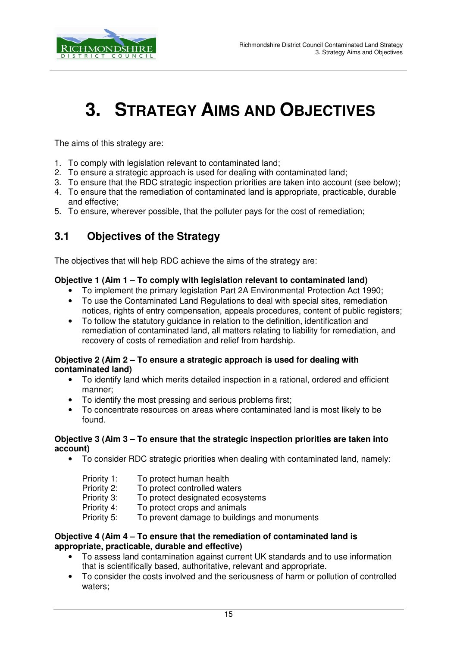

# **3. STRATEGY AIMS AND OBJECTIVES**

The aims of this strategy are:

- 1. To comply with legislation relevant to contaminated land;
- 2. To ensure a strategic approach is used for dealing with contaminated land;
- 3. To ensure that the RDC strategic inspection priorities are taken into account (see below);
- 4. To ensure that the remediation of contaminated land is appropriate, practicable, durable and effective;
- 5. To ensure, wherever possible, that the polluter pays for the cost of remediation;

## **3.1 Objectives of the Strategy**

The objectives that will help RDC achieve the aims of the strategy are:

#### **Objective 1 (Aim 1 – To comply with legislation relevant to contaminated land)**

- To implement the primary legislation Part 2A Environmental Protection Act 1990;
- To use the Contaminated Land Regulations to deal with special sites, remediation notices, rights of entry compensation, appeals procedures, content of public registers;
- To follow the statutory guidance in relation to the definition, identification and remediation of contaminated land, all matters relating to liability for remediation, and recovery of costs of remediation and relief from hardship.

#### **Objective 2 (Aim 2 – To ensure a strategic approach is used for dealing with contaminated land)**

- To identify land which merits detailed inspection in a rational, ordered and efficient manner;
- To identify the most pressing and serious problems first;
- To concentrate resources on areas where contaminated land is most likely to be found.

#### **Objective 3 (Aim 3 – To ensure that the strategic inspection priorities are taken into account)**

• To consider RDC strategic priorities when dealing with contaminated land, namely:

| Priority 1: | To protect human health                      |
|-------------|----------------------------------------------|
| Priority 2: | To protect controlled waters                 |
| Priority 3: | To protect designated ecosystems             |
| Priority 4: | To protect crops and animals                 |
| Priority 5: | To prevent damage to buildings and monuments |

#### **Objective 4 (Aim 4 – To ensure that the remediation of contaminated land is appropriate, practicable, durable and effective)**

- To assess land contamination against current UK standards and to use information that is scientifically based, authoritative, relevant and appropriate.
- To consider the costs involved and the seriousness of harm or pollution of controlled waters;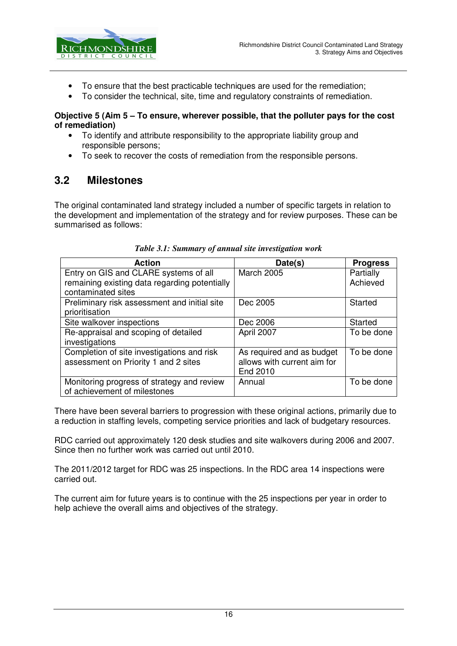

- To ensure that the best practicable techniques are used for the remediation;
- To consider the technical, site, time and regulatory constraints of remediation.

#### **Objective 5 (Aim 5 – To ensure, wherever possible, that the polluter pays for the cost of remediation)**

- To identify and attribute responsibility to the appropriate liability group and responsible persons;
- To seek to recover the costs of remediation from the responsible persons.

## **3.2 Milestones**

The original contaminated land strategy included a number of specific targets in relation to the development and implementation of the strategy and for review purposes. These can be summarised as follows:

| <b>Action</b>                                                                      | Date(s)                                                              | <b>Progress</b> |
|------------------------------------------------------------------------------------|----------------------------------------------------------------------|-----------------|
| Entry on GIS and CLARE systems of all                                              | <b>March 2005</b>                                                    | Partially       |
| remaining existing data regarding potentially<br>contaminated sites                |                                                                      | Achieved        |
| Preliminary risk assessment and initial site<br>prioritisation                     | Dec 2005                                                             | <b>Started</b>  |
| Site walkover inspections                                                          | Dec 2006                                                             | Started         |
| Re-appraisal and scoping of detailed<br>investigations                             | April 2007                                                           | To be done      |
| Completion of site investigations and risk<br>assessment on Priority 1 and 2 sites | As required and as budget<br>allows with current aim for<br>End 2010 | To be done      |
| Monitoring progress of strategy and review<br>of achievement of milestones         | Annual                                                               | To be done      |

#### *Table 3.1: Summary of annual site investigation work*

There have been several barriers to progression with these original actions, primarily due to a reduction in staffing levels, competing service priorities and lack of budgetary resources.

RDC carried out approximately 120 desk studies and site walkovers during 2006 and 2007. Since then no further work was carried out until 2010.

The 2011/2012 target for RDC was 25 inspections. In the RDC area 14 inspections were carried out.

The current aim for future years is to continue with the 25 inspections per year in order to help achieve the overall aims and objectives of the strategy.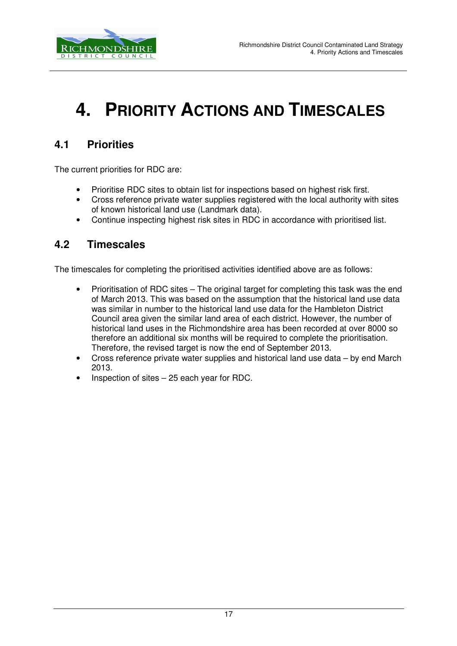

# **4. PRIORITY ACTIONS AND TIMESCALES**

## **4.1 Priorities**

The current priorities for RDC are:

- Prioritise RDC sites to obtain list for inspections based on highest risk first.
- Cross reference private water supplies registered with the local authority with sites of known historical land use (Landmark data).
- Continue inspecting highest risk sites in RDC in accordance with prioritised list.

### **4.2 Timescales**

The timescales for completing the prioritised activities identified above are as follows:

- Prioritisation of RDC sites The original target for completing this task was the end of March 2013. This was based on the assumption that the historical land use data was similar in number to the historical land use data for the Hambleton District Council area given the similar land area of each district. However, the number of historical land uses in the Richmondshire area has been recorded at over 8000 so therefore an additional six months will be required to complete the prioritisation. Therefore, the revised target is now the end of September 2013.
- Cross reference private water supplies and historical land use data by end March 2013.
- Inspection of sites  $-25$  each year for RDC.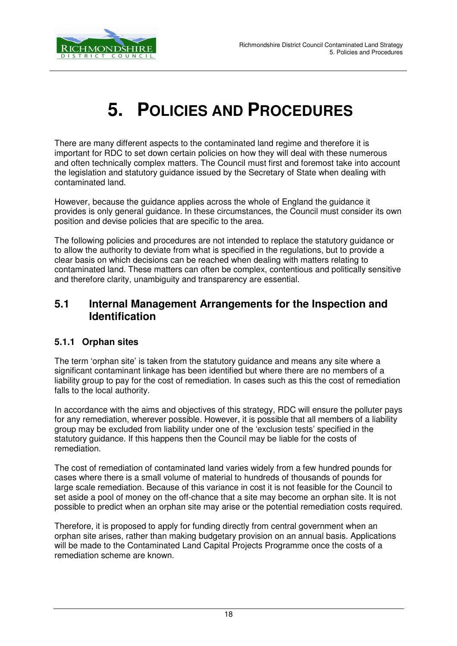

# **5. POLICIES AND PROCEDURES**

There are many different aspects to the contaminated land regime and therefore it is important for RDC to set down certain policies on how they will deal with these numerous and often technically complex matters. The Council must first and foremost take into account the legislation and statutory guidance issued by the Secretary of State when dealing with contaminated land.

However, because the guidance applies across the whole of England the guidance it provides is only general guidance. In these circumstances, the Council must consider its own position and devise policies that are specific to the area.

The following policies and procedures are not intended to replace the statutory guidance or to allow the authority to deviate from what is specified in the regulations, but to provide a clear basis on which decisions can be reached when dealing with matters relating to contaminated land. These matters can often be complex, contentious and politically sensitive and therefore clarity, unambiguity and transparency are essential.

### **5.1 Internal Management Arrangements for the Inspection and Identification**

#### **5.1.1 Orphan sites**

The term 'orphan site' is taken from the statutory guidance and means any site where a significant contaminant linkage has been identified but where there are no members of a liability group to pay for the cost of remediation. In cases such as this the cost of remediation falls to the local authority.

In accordance with the aims and objectives of this strategy, RDC will ensure the polluter pays for any remediation, wherever possible. However, it is possible that all members of a liability group may be excluded from liability under one of the 'exclusion tests' specified in the statutory guidance. If this happens then the Council may be liable for the costs of remediation.

The cost of remediation of contaminated land varies widely from a few hundred pounds for cases where there is a small volume of material to hundreds of thousands of pounds for large scale remediation. Because of this variance in cost it is not feasible for the Council to set aside a pool of money on the off-chance that a site may become an orphan site. It is not possible to predict when an orphan site may arise or the potential remediation costs required.

Therefore, it is proposed to apply for funding directly from central government when an orphan site arises, rather than making budgetary provision on an annual basis. Applications will be made to the Contaminated Land Capital Projects Programme once the costs of a remediation scheme are known.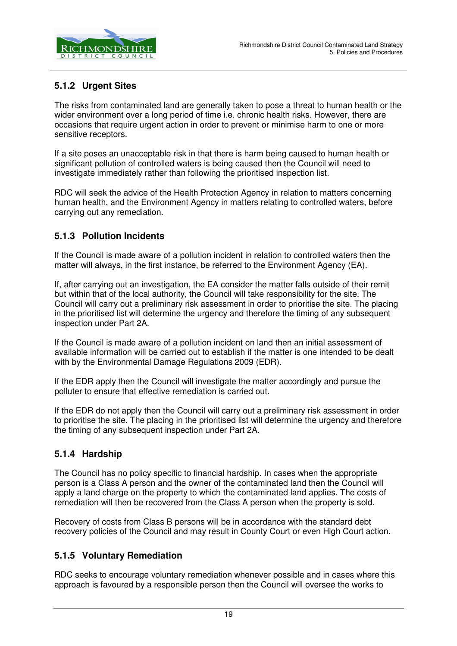

### **5.1.2 Urgent Sites**

The risks from contaminated land are generally taken to pose a threat to human health or the wider environment over a long period of time i.e. chronic health risks. However, there are occasions that require urgent action in order to prevent or minimise harm to one or more sensitive receptors.

If a site poses an unacceptable risk in that there is harm being caused to human health or significant pollution of controlled waters is being caused then the Council will need to investigate immediately rather than following the prioritised inspection list.

RDC will seek the advice of the Health Protection Agency in relation to matters concerning human health, and the Environment Agency in matters relating to controlled waters, before carrying out any remediation.

### **5.1.3 Pollution Incidents**

If the Council is made aware of a pollution incident in relation to controlled waters then the matter will always, in the first instance, be referred to the Environment Agency (EA).

If, after carrying out an investigation, the EA consider the matter falls outside of their remit but within that of the local authority, the Council will take responsibility for the site. The Council will carry out a preliminary risk assessment in order to prioritise the site. The placing in the prioritised list will determine the urgency and therefore the timing of any subsequent inspection under Part 2A.

If the Council is made aware of a pollution incident on land then an initial assessment of available information will be carried out to establish if the matter is one intended to be dealt with by the Environmental Damage Regulations 2009 (EDR).

If the EDR apply then the Council will investigate the matter accordingly and pursue the polluter to ensure that effective remediation is carried out.

If the EDR do not apply then the Council will carry out a preliminary risk assessment in order to prioritise the site. The placing in the prioritised list will determine the urgency and therefore the timing of any subsequent inspection under Part 2A.

### **5.1.4 Hardship**

The Council has no policy specific to financial hardship. In cases when the appropriate person is a Class A person and the owner of the contaminated land then the Council will apply a land charge on the property to which the contaminated land applies. The costs of remediation will then be recovered from the Class A person when the property is sold.

Recovery of costs from Class B persons will be in accordance with the standard debt recovery policies of the Council and may result in County Court or even High Court action.

#### **5.1.5 Voluntary Remediation**

RDC seeks to encourage voluntary remediation whenever possible and in cases where this approach is favoured by a responsible person then the Council will oversee the works to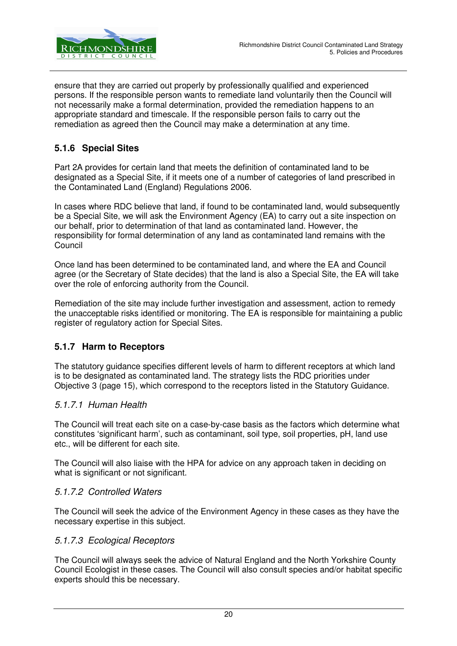

ensure that they are carried out properly by professionally qualified and experienced persons. If the responsible person wants to remediate land voluntarily then the Council will not necessarily make a formal determination, provided the remediation happens to an appropriate standard and timescale. If the responsible person fails to carry out the remediation as agreed then the Council may make a determination at any time.

#### **5.1.6 Special Sites**

Part 2A provides for certain land that meets the definition of contaminated land to be designated as a Special Site, if it meets one of a number of categories of land prescribed in the Contaminated Land (England) Regulations 2006.

In cases where RDC believe that land, if found to be contaminated land, would subsequently be a Special Site, we will ask the Environment Agency (EA) to carry out a site inspection on our behalf, prior to determination of that land as contaminated land. However, the responsibility for formal determination of any land as contaminated land remains with the Council

Once land has been determined to be contaminated land, and where the EA and Council agree (or the Secretary of State decides) that the land is also a Special Site, the EA will take over the role of enforcing authority from the Council.

Remediation of the site may include further investigation and assessment, action to remedy the unacceptable risks identified or monitoring. The EA is responsible for maintaining a public register of regulatory action for Special Sites.

#### **5.1.7 Harm to Receptors**

The statutory guidance specifies different levels of harm to different receptors at which land is to be designated as contaminated land. The strategy lists the RDC priorities under Objective 3 (page 15), which correspond to the receptors listed in the Statutory Guidance.

#### 5.1.7.1 Human Health

The Council will treat each site on a case-by-case basis as the factors which determine what constitutes 'significant harm', such as contaminant, soil type, soil properties, pH, land use etc., will be different for each site.

The Council will also liaise with the HPA for advice on any approach taken in deciding on what is significant or not significant.

#### 5.1.7.2 Controlled Waters

The Council will seek the advice of the Environment Agency in these cases as they have the necessary expertise in this subject.

#### 5.1.7.3 Ecological Receptors

The Council will always seek the advice of Natural England and the North Yorkshire County Council Ecologist in these cases. The Council will also consult species and/or habitat specific experts should this be necessary.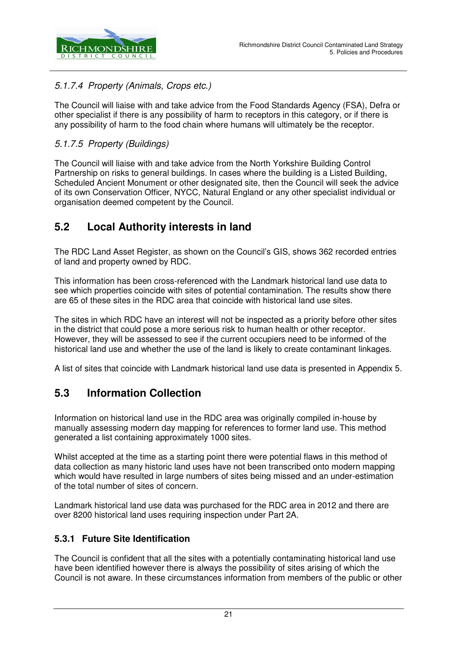

### 5.1.7.4 Property (Animals, Crops etc.)

The Council will liaise with and take advice from the Food Standards Agency (FSA), Defra or other specialist if there is any possibility of harm to receptors in this category, or if there is any possibility of harm to the food chain where humans will ultimately be the receptor.

#### 5.1.7.5 Property (Buildings)

The Council will liaise with and take advice from the North Yorkshire Building Control Partnership on risks to general buildings. In cases where the building is a Listed Building, Scheduled Ancient Monument or other designated site, then the Council will seek the advice of its own Conservation Officer, NYCC, Natural England or any other specialist individual or organisation deemed competent by the Council.

## **5.2 Local Authority interests in land**

The RDC Land Asset Register, as shown on the Council's GIS, shows 362 recorded entries of land and property owned by RDC.

This information has been cross-referenced with the Landmark historical land use data to see which properties coincide with sites of potential contamination. The results show there are 65 of these sites in the RDC area that coincide with historical land use sites.

The sites in which RDC have an interest will not be inspected as a priority before other sites in the district that could pose a more serious risk to human health or other receptor. However, they will be assessed to see if the current occupiers need to be informed of the historical land use and whether the use of the land is likely to create contaminant linkages.

A list of sites that coincide with Landmark historical land use data is presented in Appendix 5.

## **5.3 Information Collection**

Information on historical land use in the RDC area was originally compiled in-house by manually assessing modern day mapping for references to former land use. This method generated a list containing approximately 1000 sites.

Whilst accepted at the time as a starting point there were potential flaws in this method of data collection as many historic land uses have not been transcribed onto modern mapping which would have resulted in large numbers of sites being missed and an under-estimation of the total number of sites of concern.

Landmark historical land use data was purchased for the RDC area in 2012 and there are over 8200 historical land uses requiring inspection under Part 2A.

#### **5.3.1 Future Site Identification**

The Council is confident that all the sites with a potentially contaminating historical land use have been identified however there is always the possibility of sites arising of which the Council is not aware. In these circumstances information from members of the public or other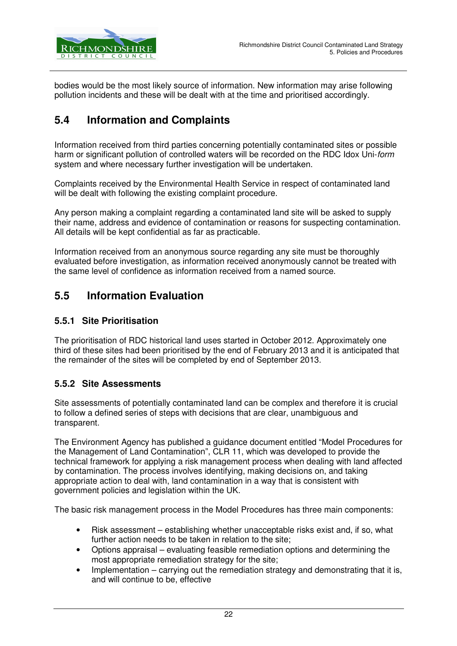

bodies would be the most likely source of information. New information may arise following pollution incidents and these will be dealt with at the time and prioritised accordingly.

## **5.4 Information and Complaints**

Information received from third parties concerning potentially contaminated sites or possible harm or significant pollution of controlled waters will be recorded on the RDC Idox Uni-form system and where necessary further investigation will be undertaken.

Complaints received by the Environmental Health Service in respect of contaminated land will be dealt with following the existing complaint procedure.

Any person making a complaint regarding a contaminated land site will be asked to supply their name, address and evidence of contamination or reasons for suspecting contamination. All details will be kept confidential as far as practicable.

Information received from an anonymous source regarding any site must be thoroughly evaluated before investigation, as information received anonymously cannot be treated with the same level of confidence as information received from a named source.

## **5.5 Information Evaluation**

#### **5.5.1 Site Prioritisation**

The prioritisation of RDC historical land uses started in October 2012. Approximately one third of these sites had been prioritised by the end of February 2013 and it is anticipated that the remainder of the sites will be completed by end of September 2013.

#### **5.5.2 Site Assessments**

Site assessments of potentially contaminated land can be complex and therefore it is crucial to follow a defined series of steps with decisions that are clear, unambiguous and transparent.

The Environment Agency has published a guidance document entitled "Model Procedures for the Management of Land Contamination", CLR 11, which was developed to provide the technical framework for applying a risk management process when dealing with land affected by contamination. The process involves identifying, making decisions on, and taking appropriate action to deal with, land contamination in a way that is consistent with government policies and legislation within the UK.

The basic risk management process in the Model Procedures has three main components:

- Risk assessment establishing whether unacceptable risks exist and, if so, what further action needs to be taken in relation to the site;
- Options appraisal evaluating feasible remediation options and determining the most appropriate remediation strategy for the site;
- Implementation carrying out the remediation strategy and demonstrating that it is, and will continue to be, effective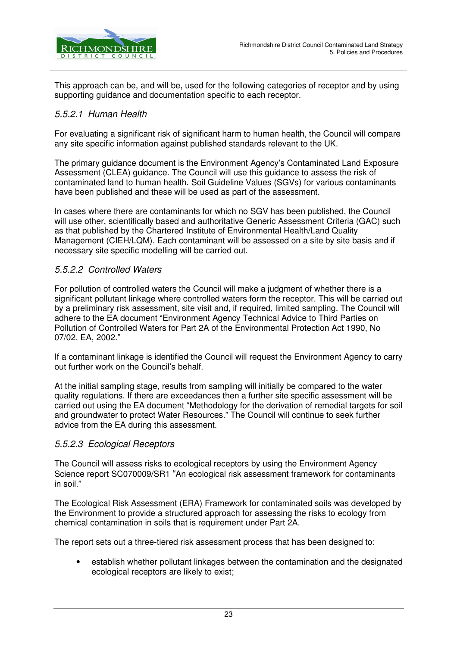

This approach can be, and will be, used for the following categories of receptor and by using supporting guidance and documentation specific to each receptor.

#### 5.5.2.1 Human Health

For evaluating a significant risk of significant harm to human health, the Council will compare any site specific information against published standards relevant to the UK.

The primary guidance document is the Environment Agency's Contaminated Land Exposure Assessment (CLEA) guidance. The Council will use this guidance to assess the risk of contaminated land to human health. Soil Guideline Values (SGVs) for various contaminants have been published and these will be used as part of the assessment.

In cases where there are contaminants for which no SGV has been published, the Council will use other, scientifically based and authoritative Generic Assessment Criteria (GAC) such as that published by the Chartered Institute of Environmental Health/Land Quality Management (CIEH/LQM). Each contaminant will be assessed on a site by site basis and if necessary site specific modelling will be carried out.

#### 5.5.2.2 Controlled Waters

For pollution of controlled waters the Council will make a judgment of whether there is a significant pollutant linkage where controlled waters form the receptor. This will be carried out by a preliminary risk assessment, site visit and, if required, limited sampling. The Council will adhere to the EA document "Environment Agency Technical Advice to Third Parties on Pollution of Controlled Waters for Part 2A of the Environmental Protection Act 1990, No 07/02. EA, 2002."

If a contaminant linkage is identified the Council will request the Environment Agency to carry out further work on the Council's behalf.

At the initial sampling stage, results from sampling will initially be compared to the water quality regulations. If there are exceedances then a further site specific assessment will be carried out using the EA document "Methodology for the derivation of remedial targets for soil and groundwater to protect Water Resources." The Council will continue to seek further advice from the EA during this assessment.

#### 5.5.2.3 Ecological Receptors

The Council will assess risks to ecological receptors by using the Environment Agency Science report SC070009/SR1 "An ecological risk assessment framework for contaminants in soil."

The Ecological Risk Assessment (ERA) Framework for contaminated soils was developed by the Environment to provide a structured approach for assessing the risks to ecology from chemical contamination in soils that is requirement under Part 2A.

The report sets out a three-tiered risk assessment process that has been designed to:

• establish whether pollutant linkages between the contamination and the designated ecological receptors are likely to exist;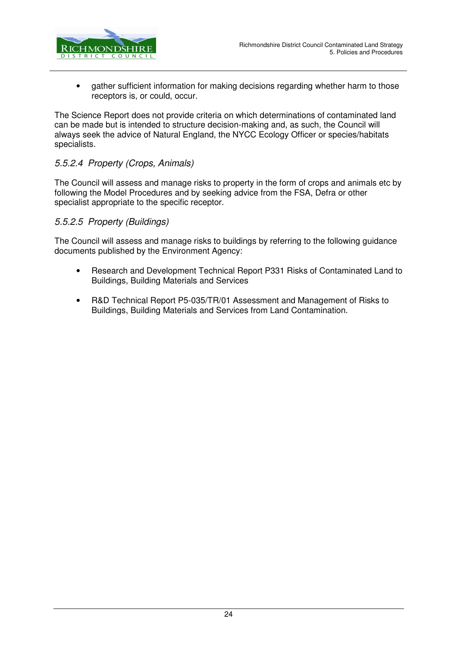

• gather sufficient information for making decisions regarding whether harm to those receptors is, or could, occur.

The Science Report does not provide criteria on which determinations of contaminated land can be made but is intended to structure decision-making and, as such, the Council will always seek the advice of Natural England, the NYCC Ecology Officer or species/habitats specialists.

#### 5.5.2.4 Property (Crops, Animals)

The Council will assess and manage risks to property in the form of crops and animals etc by following the Model Procedures and by seeking advice from the FSA, Defra or other specialist appropriate to the specific receptor.

#### 5.5.2.5 Property (Buildings)

The Council will assess and manage risks to buildings by referring to the following guidance documents published by the Environment Agency:

- Research and Development Technical Report P331 Risks of Contaminated Land to Buildings, Building Materials and Services
- R&D Technical Report P5-035/TR/01 Assessment and Management of Risks to Buildings, Building Materials and Services from Land Contamination.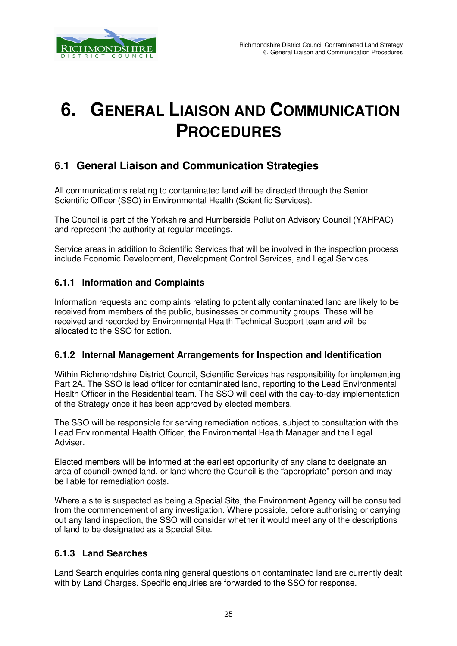

# **6. GENERAL LIAISON AND COMMUNICATION PROCEDURES**

## **6.1 General Liaison and Communication Strategies**

All communications relating to contaminated land will be directed through the Senior Scientific Officer (SSO) in Environmental Health (Scientific Services).

The Council is part of the Yorkshire and Humberside Pollution Advisory Council (YAHPAC) and represent the authority at regular meetings.

Service areas in addition to Scientific Services that will be involved in the inspection process include Economic Development, Development Control Services, and Legal Services.

#### **6.1.1 Information and Complaints**

Information requests and complaints relating to potentially contaminated land are likely to be received from members of the public, businesses or community groups. These will be received and recorded by Environmental Health Technical Support team and will be allocated to the SSO for action.

#### **6.1.2 Internal Management Arrangements for Inspection and Identification**

Within Richmondshire District Council, Scientific Services has responsibility for implementing Part 2A. The SSO is lead officer for contaminated land, reporting to the Lead Environmental Health Officer in the Residential team. The SSO will deal with the day-to-day implementation of the Strategy once it has been approved by elected members.

The SSO will be responsible for serving remediation notices, subject to consultation with the Lead Environmental Health Officer, the Environmental Health Manager and the Legal Adviser.

Elected members will be informed at the earliest opportunity of any plans to designate an area of council-owned land, or land where the Council is the "appropriate" person and may be liable for remediation costs.

Where a site is suspected as being a Special Site, the Environment Agency will be consulted from the commencement of any investigation. Where possible, before authorising or carrying out any land inspection, the SSO will consider whether it would meet any of the descriptions of land to be designated as a Special Site.

#### **6.1.3 Land Searches**

Land Search enquiries containing general questions on contaminated land are currently dealt with by Land Charges. Specific enquiries are forwarded to the SSO for response.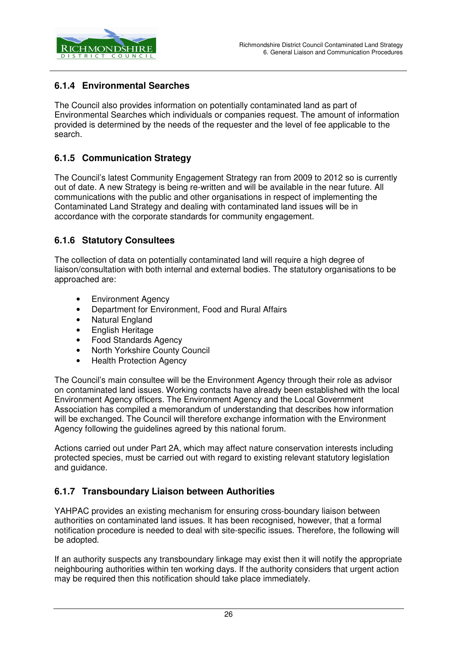

#### **6.1.4 Environmental Searches**

The Council also provides information on potentially contaminated land as part of Environmental Searches which individuals or companies request. The amount of information provided is determined by the needs of the requester and the level of fee applicable to the search.

#### **6.1.5 Communication Strategy**

The Council's latest Community Engagement Strategy ran from 2009 to 2012 so is currently out of date. A new Strategy is being re-written and will be available in the near future. All communications with the public and other organisations in respect of implementing the Contaminated Land Strategy and dealing with contaminated land issues will be in accordance with the corporate standards for community engagement.

#### **6.1.6 Statutory Consultees**

The collection of data on potentially contaminated land will require a high degree of liaison/consultation with both internal and external bodies. The statutory organisations to be approached are:

- Environment Agency
- Department for Environment, Food and Rural Affairs
- Natural England
- English Heritage
- Food Standards Agency
- North Yorkshire County Council
- Health Protection Agency

The Council's main consultee will be the Environment Agency through their role as advisor on contaminated land issues. Working contacts have already been established with the local Environment Agency officers. The Environment Agency and the Local Government Association has compiled a memorandum of understanding that describes how information will be exchanged. The Council will therefore exchange information with the Environment Agency following the guidelines agreed by this national forum.

Actions carried out under Part 2A, which may affect nature conservation interests including protected species, must be carried out with regard to existing relevant statutory legislation and guidance.

#### **6.1.7 Transboundary Liaison between Authorities**

YAHPAC provides an existing mechanism for ensuring cross-boundary liaison between authorities on contaminated land issues. It has been recognised, however, that a formal notification procedure is needed to deal with site-specific issues. Therefore, the following will be adopted.

If an authority suspects any transboundary linkage may exist then it will notify the appropriate neighbouring authorities within ten working days. If the authority considers that urgent action may be required then this notification should take place immediately.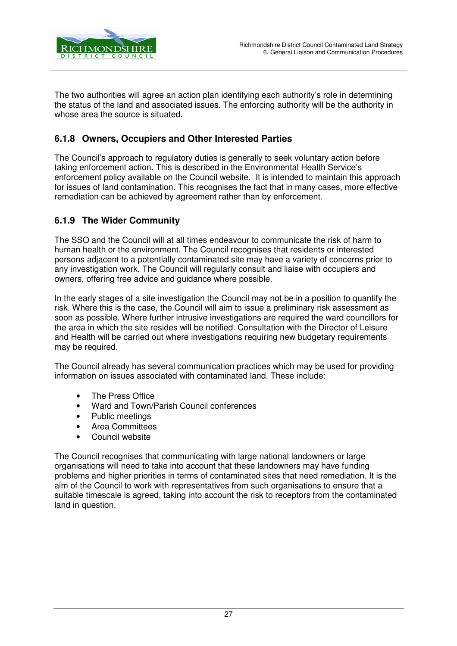

The two authorities will agree an action plan identifying each authority's role in determining the status of the land and associated issues. The enforcing authority will be the authority in whose area the source is situated.

#### **6.1.8 Owners, Occupiers and Other Interested Parties**

The Council's approach to regulatory duties is generally to seek voluntary action before taking enforcement action. This is described in the Environmental Health Service's enforcement policy available on the Council website. It is intended to maintain this approach for issues of land contamination. This recognises the fact that in many cases, more effective remediation can be achieved by agreement rather than by enforcement.

#### **6.1.9 The Wider Community**

The SSO and the Council will at all times endeavour to communicate the risk of harm to human health or the environment. The Council recognises that residents or interested persons adjacent to a potentially contaminated site may have a variety of concerns prior to any investigation work. The Council will regularly consult and liaise with occupiers and owners, offering free advice and guidance where possible.

In the early stages of a site investigation the Council may not be in a position to quantify the risk. Where this is the case, the Council will aim to issue a preliminary risk assessment as soon as possible. Where further intrusive investigations are required the ward councillors for the area in which the site resides will be notified. Consultation with the Director of Leisure and Health will be carried out where investigations requiring new budgetary requirements may be required.

The Council already has several communication practices which may be used for providing information on issues associated with contaminated land. These include:

- The Press Office
- Ward and Town/Parish Council conferences
- Public meetings
- Area Committees
- Council website

The Council recognises that communicating with large national landowners or large organisations will need to take into account that these landowners may have funding problems and higher priorities in terms of contaminated sites that need remediation. It is the aim of the Council to work with representatives from such organisations to ensure that a suitable timescale is agreed, taking into account the risk to receptors from the contaminated land in question.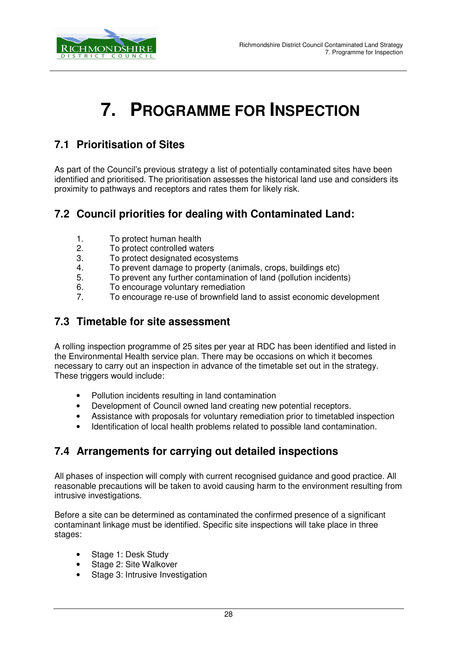

# **7. PROGRAMME FOR INSPECTION**

## **7.1 Prioritisation of Sites**

As part of the Council's previous strategy a list of potentially contaminated sites have been identified and prioritised. The prioritisation assesses the historical land use and considers its proximity to pathways and receptors and rates them for likely risk.

## **7.2 Council priorities for dealing with Contaminated Land:**

- 1. To protect human health
- 2. To protect controlled waters<br>3 To protect designated ecosy
- To protect designated ecosystems
- 4. To prevent damage to property (animals, crops, buildings etc)
- 5. To prevent any further contamination of land (pollution incidents)
- 6. To encourage voluntary remediation
- 7. To encourage re-use of brownfield land to assist economic development

## **7.3 Timetable for site assessment**

A rolling inspection programme of 25 sites per year at RDC has been identified and listed in the Environmental Health service plan. There may be occasions on which it becomes necessary to carry out an inspection in advance of the timetable set out in the strategy. These triggers would include:

- Pollution incidents resulting in land contamination
- Development of Council owned land creating new potential receptors.
- Assistance with proposals for voluntary remediation prior to timetabled inspection
- Identification of local health problems related to possible land contamination.

## **7.4 Arrangements for carrying out detailed inspections**

All phases of inspection will comply with current recognised guidance and good practice. All reasonable precautions will be taken to avoid causing harm to the environment resulting from intrusive investigations.

Before a site can be determined as contaminated the confirmed presence of a significant contaminant linkage must be identified. Specific site inspections will take place in three stages:

- Stage 1: Desk Study
- Stage 2: Site Walkover
- Stage 3: Intrusive Investigation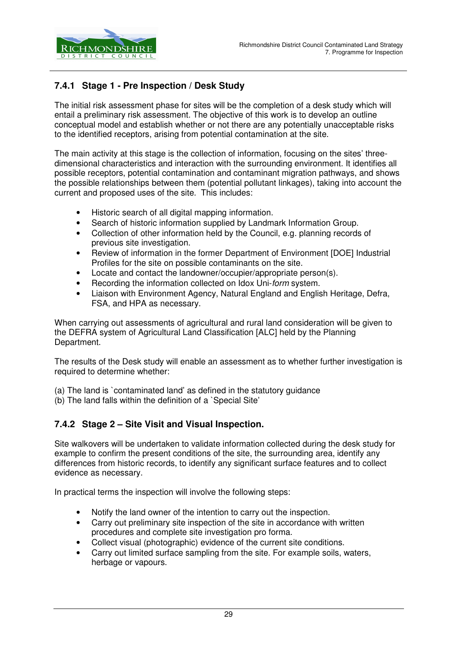

### **7.4.1 Stage 1 - Pre Inspection / Desk Study**

The initial risk assessment phase for sites will be the completion of a desk study which will entail a preliminary risk assessment. The objective of this work is to develop an outline conceptual model and establish whether or not there are any potentially unacceptable risks to the identified receptors, arising from potential contamination at the site.

The main activity at this stage is the collection of information, focusing on the sites' threedimensional characteristics and interaction with the surrounding environment. It identifies all possible receptors, potential contamination and contaminant migration pathways, and shows the possible relationships between them (potential pollutant linkages), taking into account the current and proposed uses of the site. This includes:

- Historic search of all digital mapping information.
- Search of historic information supplied by Landmark Information Group.
- Collection of other information held by the Council, e.g. planning records of previous site investigation.
- Review of information in the former Department of Environment [DOE] Industrial Profiles for the site on possible contaminants on the site.
- Locate and contact the landowner/occupier/appropriate person(s).
- Recording the information collected on Idox Uni-form system.
- Liaison with Environment Agency, Natural England and English Heritage, Defra, FSA, and HPA as necessary.

When carrying out assessments of agricultural and rural land consideration will be given to the DEFRA system of Agricultural Land Classification [ALC] held by the Planning Department.

The results of the Desk study will enable an assessment as to whether further investigation is required to determine whether:

(a) The land is `contaminated land' as defined in the statutory guidance

(b) The land falls within the definition of a `Special Site'

#### **7.4.2 Stage 2 – Site Visit and Visual Inspection.**

Site walkovers will be undertaken to validate information collected during the desk study for example to confirm the present conditions of the site, the surrounding area, identify any differences from historic records, to identify any significant surface features and to collect evidence as necessary.

In practical terms the inspection will involve the following steps:

- Notify the land owner of the intention to carry out the inspection.
- Carry out preliminary site inspection of the site in accordance with written procedures and complete site investigation pro forma.
- Collect visual (photographic) evidence of the current site conditions.
- Carry out limited surface sampling from the site. For example soils, waters, herbage or vapours.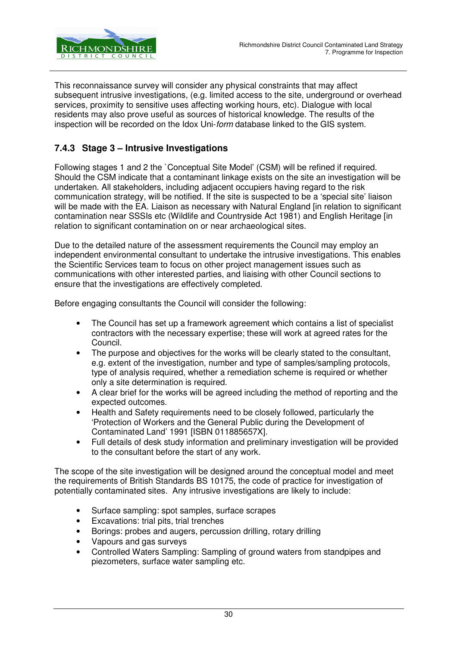

This reconnaissance survey will consider any physical constraints that may affect subsequent intrusive investigations, (e.g. limited access to the site, underground or overhead services, proximity to sensitive uses affecting working hours, etc). Dialogue with local residents may also prove useful as sources of historical knowledge. The results of the inspection will be recorded on the Idox Uni-form database linked to the GIS system.

#### **7.4.3 Stage 3 – Intrusive Investigations**

Following stages 1 and 2 the `Conceptual Site Model' (CSM) will be refined if required. Should the CSM indicate that a contaminant linkage exists on the site an investigation will be undertaken. All stakeholders, including adjacent occupiers having regard to the risk communication strategy, will be notified. If the site is suspected to be a 'special site' liaison will be made with the EA. Liaison as necessary with Natural England [in relation to significant contamination near SSSIs etc (Wildlife and Countryside Act 1981) and English Heritage [in relation to significant contamination on or near archaeological sites.

Due to the detailed nature of the assessment requirements the Council may employ an independent environmental consultant to undertake the intrusive investigations. This enables the Scientific Services team to focus on other project management issues such as communications with other interested parties, and liaising with other Council sections to ensure that the investigations are effectively completed.

Before engaging consultants the Council will consider the following:

- The Council has set up a framework agreement which contains a list of specialist contractors with the necessary expertise; these will work at agreed rates for the Council.
- The purpose and objectives for the works will be clearly stated to the consultant, e.g. extent of the investigation, number and type of samples/sampling protocols, type of analysis required, whether a remediation scheme is required or whether only a site determination is required.
- A clear brief for the works will be agreed including the method of reporting and the expected outcomes.
- Health and Safety requirements need to be closely followed, particularly the 'Protection of Workers and the General Public during the Development of Contaminated Land' 1991 [ISBN 011885657X].
- Full details of desk study information and preliminary investigation will be provided to the consultant before the start of any work.

The scope of the site investigation will be designed around the conceptual model and meet the requirements of British Standards BS 10175, the code of practice for investigation of potentially contaminated sites. Any intrusive investigations are likely to include:

- Surface sampling: spot samples, surface scrapes
- Excavations: trial pits, trial trenches
- Borings: probes and augers, percussion drilling, rotary drilling
- Vapours and gas surveys
- Controlled Waters Sampling: Sampling of ground waters from standpipes and piezometers, surface water sampling etc.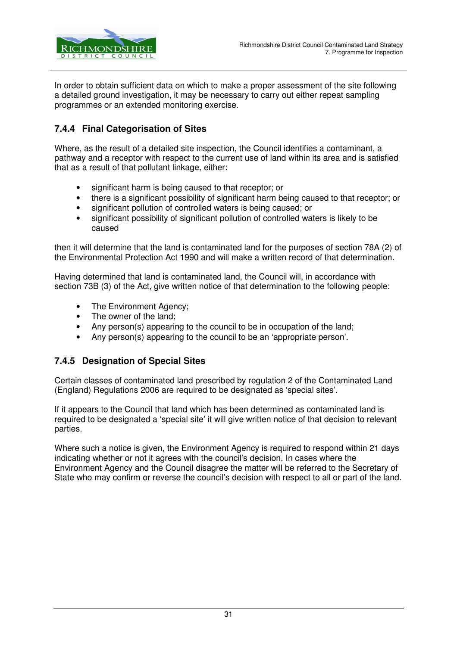

In order to obtain sufficient data on which to make a proper assessment of the site following a detailed ground investigation, it may be necessary to carry out either repeat sampling programmes or an extended monitoring exercise.

#### **7.4.4 Final Categorisation of Sites**

Where, as the result of a detailed site inspection, the Council identifies a contaminant, a pathway and a receptor with respect to the current use of land within its area and is satisfied that as a result of that pollutant linkage, either:

- significant harm is being caused to that receptor; or
- there is a significant possibility of significant harm being caused to that receptor; or
- significant pollution of controlled waters is being caused; or
- significant possibility of significant pollution of controlled waters is likely to be caused

then it will determine that the land is contaminated land for the purposes of section 78A (2) of the Environmental Protection Act 1990 and will make a written record of that determination.

Having determined that land is contaminated land, the Council will, in accordance with section 73B (3) of the Act, give written notice of that determination to the following people:

- The Environment Agency;
- The owner of the land:
- Any person(s) appearing to the council to be in occupation of the land;
- Any person(s) appearing to the council to be an 'appropriate person'.

#### **7.4.5 Designation of Special Sites**

Certain classes of contaminated land prescribed by regulation 2 of the Contaminated Land (England) Regulations 2006 are required to be designated as 'special sites'.

If it appears to the Council that land which has been determined as contaminated land is required to be designated a 'special site' it will give written notice of that decision to relevant parties.

Where such a notice is given, the Environment Agency is required to respond within 21 days indicating whether or not it agrees with the council's decision. In cases where the Environment Agency and the Council disagree the matter will be referred to the Secretary of State who may confirm or reverse the council's decision with respect to all or part of the land.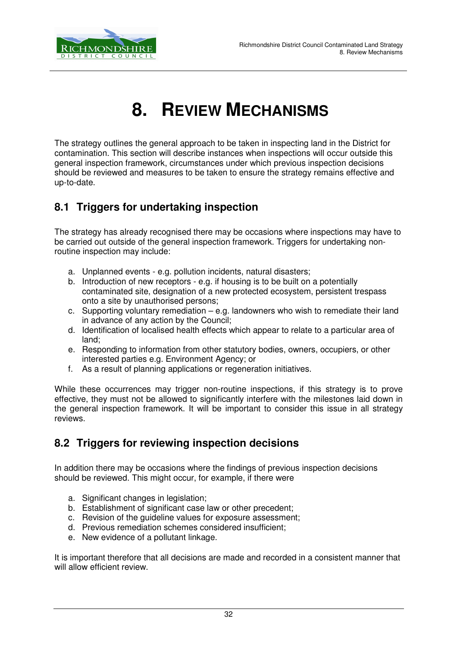

# **8. REVIEW MECHANISMS**

The strategy outlines the general approach to be taken in inspecting land in the District for contamination. This section will describe instances when inspections will occur outside this general inspection framework, circumstances under which previous inspection decisions should be reviewed and measures to be taken to ensure the strategy remains effective and up-to-date.

## **8.1 Triggers for undertaking inspection**

The strategy has already recognised there may be occasions where inspections may have to be carried out outside of the general inspection framework. Triggers for undertaking nonroutine inspection may include:

- a. Unplanned events e.g. pollution incidents, natural disasters;
- b. Introduction of new receptors e.g. if housing is to be built on a potentially contaminated site, designation of a new protected ecosystem, persistent trespass onto a site by unauthorised persons;
- c. Supporting voluntary remediation e.g. landowners who wish to remediate their land in advance of any action by the Council;
- d. Identification of localised health effects which appear to relate to a particular area of land;
- e. Responding to information from other statutory bodies, owners, occupiers, or other interested parties e.g. Environment Agency; or
- f. As a result of planning applications or regeneration initiatives.

While these occurrences may trigger non-routine inspections, if this strategy is to prove effective, they must not be allowed to significantly interfere with the milestones laid down in the general inspection framework. It will be important to consider this issue in all strategy reviews.

## **8.2 Triggers for reviewing inspection decisions**

In addition there may be occasions where the findings of previous inspection decisions should be reviewed. This might occur, for example, if there were

- a. Significant changes in legislation;
- b. Establishment of significant case law or other precedent;
- c. Revision of the guideline values for exposure assessment;
- d. Previous remediation schemes considered insufficient;
- e. New evidence of a pollutant linkage.

It is important therefore that all decisions are made and recorded in a consistent manner that will allow efficient review.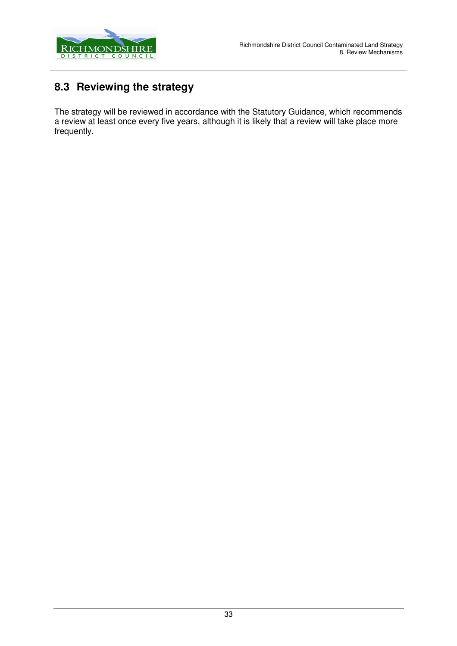

## **8.3 Reviewing the strategy**

The strategy will be reviewed in accordance with the Statutory Guidance, which recommends a review at least once every five years, although it is likely that a review will take place more frequently.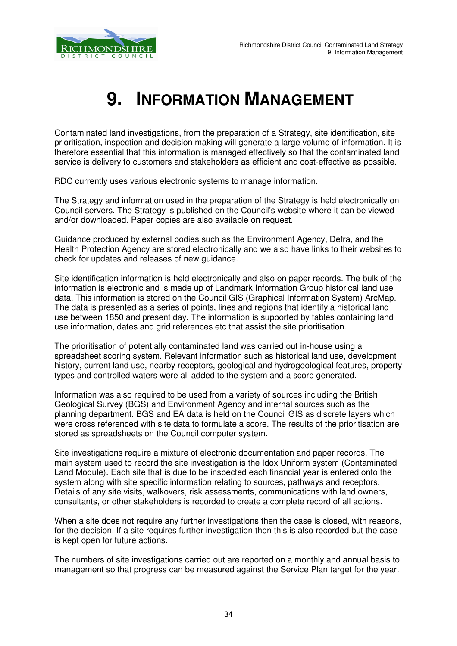

# **9. INFORMATION MANAGEMENT**

Contaminated land investigations, from the preparation of a Strategy, site identification, site prioritisation, inspection and decision making will generate a large volume of information. It is therefore essential that this information is managed effectively so that the contaminated land service is delivery to customers and stakeholders as efficient and cost-effective as possible.

RDC currently uses various electronic systems to manage information.

The Strategy and information used in the preparation of the Strategy is held electronically on Council servers. The Strategy is published on the Council's website where it can be viewed and/or downloaded. Paper copies are also available on request.

Guidance produced by external bodies such as the Environment Agency, Defra, and the Health Protection Agency are stored electronically and we also have links to their websites to check for updates and releases of new guidance.

Site identification information is held electronically and also on paper records. The bulk of the information is electronic and is made up of Landmark Information Group historical land use data. This information is stored on the Council GIS (Graphical Information System) ArcMap. The data is presented as a series of points, lines and regions that identify a historical land use between 1850 and present day. The information is supported by tables containing land use information, dates and grid references etc that assist the site prioritisation.

The prioritisation of potentially contaminated land was carried out in-house using a spreadsheet scoring system. Relevant information such as historical land use, development history, current land use, nearby receptors, geological and hydrogeological features, property types and controlled waters were all added to the system and a score generated.

Information was also required to be used from a variety of sources including the British Geological Survey (BGS) and Environment Agency and internal sources such as the planning department. BGS and EA data is held on the Council GIS as discrete layers which were cross referenced with site data to formulate a score. The results of the prioritisation are stored as spreadsheets on the Council computer system.

Site investigations require a mixture of electronic documentation and paper records. The main system used to record the site investigation is the Idox Uniform system (Contaminated Land Module). Each site that is due to be inspected each financial year is entered onto the system along with site specific information relating to sources, pathways and receptors. Details of any site visits, walkovers, risk assessments, communications with land owners, consultants, or other stakeholders is recorded to create a complete record of all actions.

When a site does not require any further investigations then the case is closed, with reasons, for the decision. If a site requires further investigation then this is also recorded but the case is kept open for future actions.

The numbers of site investigations carried out are reported on a monthly and annual basis to management so that progress can be measured against the Service Plan target for the year.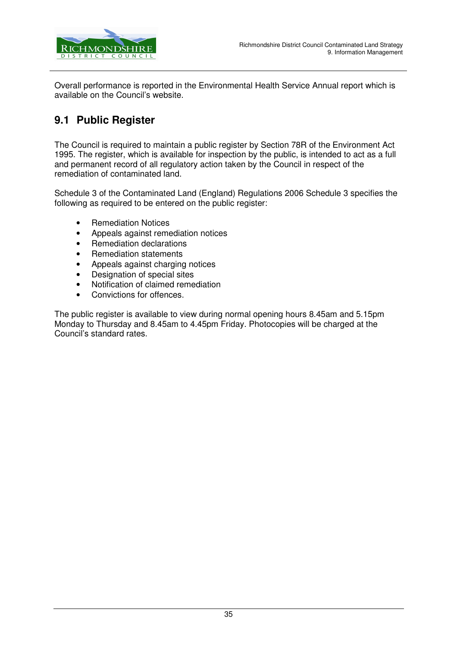

Overall performance is reported in the Environmental Health Service Annual report which is available on the Council's website.

## **9.1 Public Register**

The Council is required to maintain a public register by Section 78R of the Environment Act 1995. The register, which is available for inspection by the public, is intended to act as a full and permanent record of all regulatory action taken by the Council in respect of the remediation of contaminated land.

Schedule 3 of the Contaminated Land (England) Regulations 2006 Schedule 3 specifies the following as required to be entered on the public register:

- Remediation Notices
- Appeals against remediation notices
- Remediation declarations
- Remediation statements
- Appeals against charging notices
- Designation of special sites
- Notification of claimed remediation
- Convictions for offences.

The public register is available to view during normal opening hours 8.45am and 5.15pm Monday to Thursday and 8.45am to 4.45pm Friday. Photocopies will be charged at the Council's standard rates.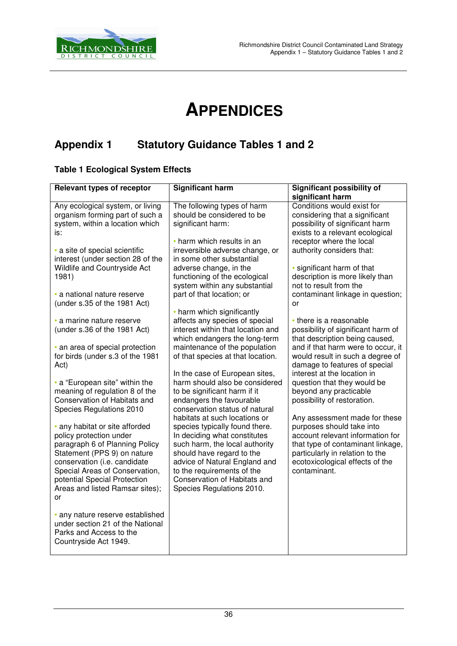

# **APPENDICES**

## **Appendix 1 Statutory Guidance Tables 1 and 2**

#### **Table 1 Ecological System Effects**

| <b>Relevant types of receptor</b>                                                                                                                                                                                                                                     | <b>Significant harm</b>                                                                                                                                                                                                                                                                    | <b>Significant possibility of</b>                                                                                                                                                                                         |
|-----------------------------------------------------------------------------------------------------------------------------------------------------------------------------------------------------------------------------------------------------------------------|--------------------------------------------------------------------------------------------------------------------------------------------------------------------------------------------------------------------------------------------------------------------------------------------|---------------------------------------------------------------------------------------------------------------------------------------------------------------------------------------------------------------------------|
| Any ecological system, or living<br>organism forming part of such a<br>system, within a location which<br>is:                                                                                                                                                         | The following types of harm<br>should be considered to be<br>significant harm:                                                                                                                                                                                                             | significant harm<br>Conditions would exist for<br>considering that a significant<br>possibility of significant harm<br>exists to a relevant ecological                                                                    |
| · a site of special scientific<br>interest (under section 28 of the<br>Wildlife and Countryside Act<br>1981)                                                                                                                                                          | • harm which results in an<br>irreversible adverse change, or<br>in some other substantial<br>adverse change, in the<br>functioning of the ecological                                                                                                                                      | receptor where the local<br>authority considers that:<br>· significant harm of that<br>description is more likely than                                                                                                    |
| · a national nature reserve<br>(under s.35 of the 1981 Act)                                                                                                                                                                                                           | system within any substantial<br>part of that location; or                                                                                                                                                                                                                                 | not to result from the<br>contaminant linkage in question;<br>or                                                                                                                                                          |
| · a marine nature reserve<br>(under s.36 of the 1981 Act)                                                                                                                                                                                                             | • harm which significantly<br>affects any species of special<br>interest within that location and<br>which endangers the long-term                                                                                                                                                         | • there is a reasonable<br>possibility of significant harm of<br>that description being caused,                                                                                                                           |
| • an area of special protection<br>for birds (under s.3 of the 1981<br>Act)                                                                                                                                                                                           | maintenance of the population<br>of that species at that location.                                                                                                                                                                                                                         | and if that harm were to occur, it<br>would result in such a degree of<br>damage to features of special                                                                                                                   |
| • a "European site" within the<br>meaning of regulation 8 of the<br>Conservation of Habitats and<br>Species Regulations 2010                                                                                                                                          | In the case of European sites,<br>harm should also be considered<br>to be significant harm if it<br>endangers the favourable<br>conservation status of natural                                                                                                                             | interest at the location in<br>question that they would be<br>beyond any practicable<br>possibility of restoration.                                                                                                       |
| • any habitat or site afforded<br>policy protection under<br>paragraph 6 of Planning Policy<br>Statement (PPS 9) on nature<br>conservation (i.e. candidate<br>Special Areas of Conservation,<br>potential Special Protection<br>Areas and listed Ramsar sites);<br>or | habitats at such locations or<br>species typically found there.<br>In deciding what constitutes<br>such harm, the local authority<br>should have regard to the<br>advice of Natural England and<br>to the requirements of the<br>Conservation of Habitats and<br>Species Regulations 2010. | Any assessment made for these<br>purposes should take into<br>account relevant information for<br>that type of contaminant linkage,<br>particularly in relation to the<br>ecotoxicological effects of the<br>contaminant. |
| · any nature reserve established<br>under section 21 of the National<br>Parks and Access to the<br>Countryside Act 1949.                                                                                                                                              |                                                                                                                                                                                                                                                                                            |                                                                                                                                                                                                                           |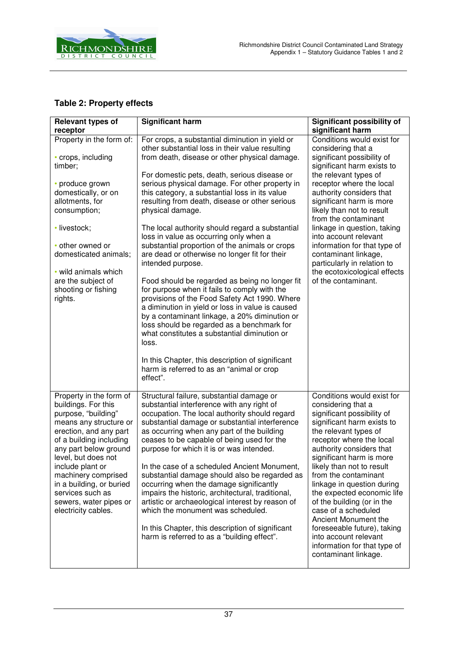

## **Table 2: Property effects**

| <b>Relevant types of</b>                                                                                                                                                                                                                                                                                                                         | <b>Significant harm</b>                                                                                                                                                                                                                                                                                                                                                                                                                                                                                                                                                                                                                                                                                                                                                                                                                                                                                                 | <b>Significant possibility of</b>                                                                                                                                                                                                                                                                                                                                                                                                                                                                                                       |
|--------------------------------------------------------------------------------------------------------------------------------------------------------------------------------------------------------------------------------------------------------------------------------------------------------------------------------------------------|-------------------------------------------------------------------------------------------------------------------------------------------------------------------------------------------------------------------------------------------------------------------------------------------------------------------------------------------------------------------------------------------------------------------------------------------------------------------------------------------------------------------------------------------------------------------------------------------------------------------------------------------------------------------------------------------------------------------------------------------------------------------------------------------------------------------------------------------------------------------------------------------------------------------------|-----------------------------------------------------------------------------------------------------------------------------------------------------------------------------------------------------------------------------------------------------------------------------------------------------------------------------------------------------------------------------------------------------------------------------------------------------------------------------------------------------------------------------------------|
| receptor                                                                                                                                                                                                                                                                                                                                         |                                                                                                                                                                                                                                                                                                                                                                                                                                                                                                                                                                                                                                                                                                                                                                                                                                                                                                                         | significant harm                                                                                                                                                                                                                                                                                                                                                                                                                                                                                                                        |
| Property in the form of:<br>• crops, including                                                                                                                                                                                                                                                                                                   | For crops, a substantial diminution in yield or<br>other substantial loss in their value resulting<br>from death, disease or other physical damage.                                                                                                                                                                                                                                                                                                                                                                                                                                                                                                                                                                                                                                                                                                                                                                     | Conditions would exist for<br>considering that a<br>significant possibility of                                                                                                                                                                                                                                                                                                                                                                                                                                                          |
| timber;<br>• produce grown<br>domestically, or on<br>allotments, for<br>consumption;<br>· livestock;<br>• other owned or<br>domesticated animals;<br>• wild animals which<br>are the subject of<br>shooting or fishing<br>rights.                                                                                                                | For domestic pets, death, serious disease or<br>serious physical damage. For other property in<br>this category, a substantial loss in its value<br>resulting from death, disease or other serious<br>physical damage.<br>The local authority should regard a substantial<br>loss in value as occurring only when a<br>substantial proportion of the animals or crops<br>are dead or otherwise no longer fit for their<br>intended purpose.<br>Food should be regarded as being no longer fit<br>for purpose when it fails to comply with the<br>provisions of the Food Safety Act 1990. Where<br>a diminution in yield or loss in value is caused<br>by a contaminant linkage, a 20% diminution or<br>loss should be regarded as a benchmark for<br>what constitutes a substantial diminution or<br>loss.<br>In this Chapter, this description of significant<br>harm is referred to as an "animal or crop<br>effect". | significant harm exists to<br>the relevant types of<br>receptor where the local<br>authority considers that<br>significant harm is more<br>likely than not to result<br>from the contaminant<br>linkage in question, taking<br>into account relevant<br>information for that type of<br>contaminant linkage,<br>particularly in relation to<br>the ecotoxicological effects<br>of the contaminant.                                                                                                                                      |
| Property in the form of<br>buildings. For this<br>purpose, "building"<br>means any structure or<br>erection, and any part<br>of a building including<br>any part below ground<br>level, but does not<br>include plant or<br>machinery comprised<br>in a building, or buried<br>services such as<br>sewers, water pipes or<br>electricity cables. | Structural failure, substantial damage or<br>substantial interference with any right of<br>occupation. The local authority should regard<br>substantial damage or substantial interference<br>as occurring when any part of the building<br>ceases to be capable of being used for the<br>purpose for which it is or was intended.<br>In the case of a scheduled Ancient Monument,<br>substantial damage should also be regarded as<br>occurring when the damage significantly<br>impairs the historic, architectural, traditional,<br>artistic or archaeological interest by reason of<br>which the monument was scheduled.<br>In this Chapter, this description of significant<br>harm is referred to as a "building effect".                                                                                                                                                                                         | Conditions would exist for<br>considering that a<br>significant possibility of<br>significant harm exists to<br>the relevant types of<br>receptor where the local<br>authority considers that<br>significant harm is more<br>likely than not to result<br>from the contaminant<br>linkage in question during<br>the expected economic life<br>of the building (or in the<br>case of a scheduled<br>Ancient Monument the<br>foreseeable future), taking<br>into account relevant<br>information for that type of<br>contaminant linkage. |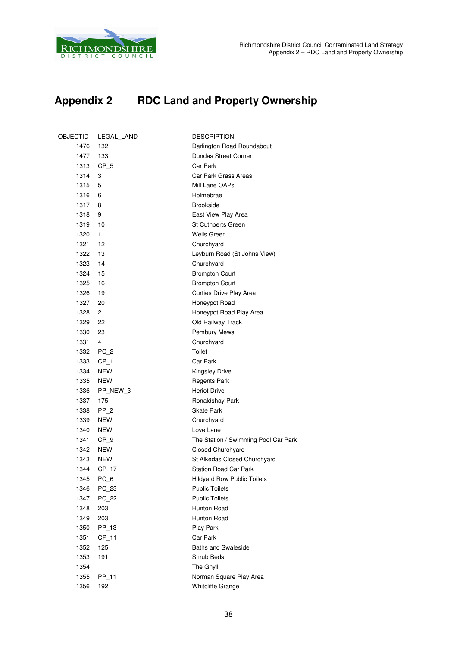

## **Appendix 2 RDC Land and Property Ownership**

| OBJECTID | LEGAL_LAND      | <b>DESCRIPTION</b>                   |
|----------|-----------------|--------------------------------------|
| 1476     | 132             | Darlington Road Roundabout           |
| 1477     | 133             | Dundas Street Corner                 |
| 1313     | $CP_5$          | Car Park                             |
| 1314     | 3               | Car Park Grass Areas                 |
| 1315     | 5               | Mill Lane OAPs                       |
| 1316     | 6               | Holmebrae                            |
| 1317     | 8               | <b>Brookside</b>                     |
| 1318     | 9               | East View Play Area                  |
| 1319     | 10              | <b>St Cuthberts Green</b>            |
| 1320     | 11              | Wells Green                          |
| 1321     | 12              | Churchyard                           |
| 1322     | 13              | Leyburn Road (St Johns View)         |
| 1323     | 14              | Churchyard                           |
| 1324     | 15              | <b>Brompton Court</b>                |
| 1325     | 16              | <b>Brompton Court</b>                |
| 1326     | 19              | Curties Drive Play Area              |
| 1327     | 20              | Honeypot Road                        |
| 1328     | 21              | Honeypot Road Play Area              |
| 1329     | 22              | Old Railway Track                    |
| 1330     | 23              | Pembury Mews                         |
| 1331     | 4               | Churchyard                           |
| 1332     | $PC_2$          | Toilet                               |
| 1333     | CP <sub>1</sub> | Car Park                             |
| 1334     | <b>NEW</b>      | <b>Kingsley Drive</b>                |
| 1335     | <b>NEW</b>      | <b>Regents Park</b>                  |
| 1336     | PP_NEW_3        | <b>Heriot Drive</b>                  |
| 1337     | 175             | Ronaldshay Park                      |
| 1338     | $PP_2$          | <b>Skate Park</b>                    |
| 1339     | <b>NEW</b>      | Churchyard                           |
| 1340     | <b>NEW</b>      | Love Lane                            |
| 1341     | $CP_9$          | The Station / Swimming Pool Car Park |
| 1342     | <b>NEW</b>      | <b>Closed Churchyard</b>             |
| 1343     | <b>NEW</b>      | St Alkedas Closed Churchyard         |
| 1344     | $CP_17$         | <b>Station Road Car Park</b>         |
| 1345     | $PC_6$          | <b>Hildyard Row Public Toilets</b>   |
| 1346     | PC_23           | <b>Public Toilets</b>                |
| 1347     | PC_22           | <b>Public Toilets</b>                |
| 1348     | 203             | Hunton Road                          |
| 1349     | 203             | Hunton Road                          |
| 1350     | PP_13           | <b>Play Park</b>                     |
| 1351     | $CP_11$         | Car Park                             |
| 1352     | 125             | <b>Baths and Swaleside</b>           |
| 1353     | 191             | Shrub Beds                           |
| 1354     |                 | The Ghyll                            |
| 1355     | PP_11           | Norman Square Play Area              |
| 1356     | 192             | <b>Whitcliffe Grange</b>             |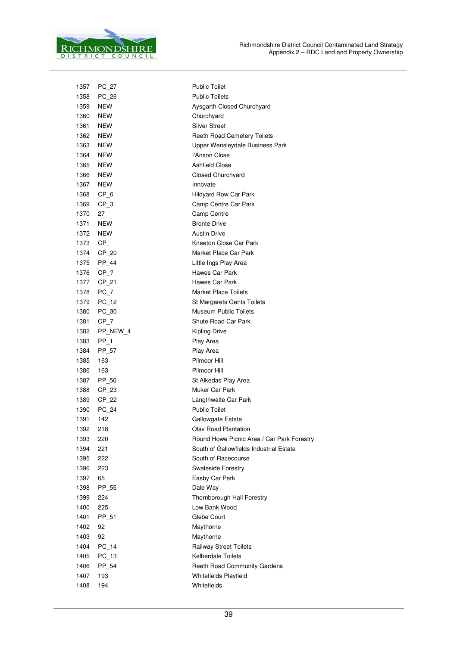

| 1357 | PC_27      | <b>Public Toilet</b>                       |
|------|------------|--------------------------------------------|
| 1358 | PC 26      | <b>Public Toilets</b>                      |
| 1359 | NEW        | Aysgarth Closed Churchyard                 |
| 1360 | <b>NEW</b> | Churchyard                                 |
| 1361 | <b>NEW</b> | <b>Silver Street</b>                       |
| 1362 | <b>NEW</b> | <b>Reeth Road Cemetery Toilets</b>         |
| 1363 | <b>NEW</b> | Upper Wensleydale Business Park            |
| 1364 | <b>NEW</b> | l'Anson Close                              |
| 1365 | <b>NEW</b> | <b>Ashfield Close</b>                      |
| 1366 | <b>NEW</b> | Closed Churchyard                          |
| 1367 | <b>NEW</b> | Innovate                                   |
| 1368 | $CP_6$     | Hildyard Row Car Park                      |
| 1369 | $CP_3$     | Camp Centre Car Park                       |
| 1370 | 27         | Camp Centre                                |
| 1371 | <b>NEW</b> | <b>Bronte Drive</b>                        |
| 1372 | <b>NEW</b> | <b>Austin Drive</b>                        |
| 1373 | $CP_$      | Kneeton Close Car Park                     |
| 1374 | CP 20      | Market Place Car Park                      |
| 1375 | PP_44      | Little Ings Play Area                      |
| 1376 | CP ?       | Hawes Car Park                             |
| 1377 | $CP_21$    | Hawes Car Park                             |
| 1378 | PC 7       | <b>Market Place Toilets</b>                |
| 1379 | PC 12      | St Margarets Gents Toilets                 |
| 1380 | PC_30      | Museum Public Toilets                      |
| 1381 | $CP_7$     | Shute Road Car Park                        |
| 1382 | PP_NEW_4   | <b>Kipling Drive</b>                       |
| 1383 | $PP_1$     | Play Area                                  |
| 1384 | PP_57      | Play Area                                  |
| 1385 | 163        | Pilmoor Hill                               |
| 1386 | 163        | Pilmoor Hill                               |
| 1387 | PP_56      | St Alkedas Play Area                       |
| 1388 | CP 23      | <b>Muker Car Park</b>                      |
| 1389 | CP 22      | Langthwaite Car Park                       |
| 1390 | PC_24      | <b>Public Toilet</b>                       |
| 1391 | 142        | Gallowgate Estate                          |
| 1392 | 218        | Olav Road Plantation                       |
| 1393 | 220        | Round Howe Picnic Area / Car Park Forestry |
| 1394 | 221        | South of Gallowfields Industrial Estate    |
| 1395 | 222        | South of Racecourse                        |
| 1396 | 223        | <b>Swaleside Forestry</b>                  |
| 1397 | 65         | Easby Car Park                             |
| 1398 | PP 55      | Dale Way                                   |
| 1399 | 224        | Thornborough Hall Forestry                 |
| 1400 | 225        | Low Bank Wood                              |
| 1401 | PP 51      | Glebe Court                                |
| 1402 | 92         | Maythorne                                  |
| 1403 | 92         | Maythorne                                  |
| 1404 | $PC_14$    | Railway Street Toilets                     |
| 1405 | PC_13      | <b>Kelberdale Toilets</b>                  |
| 1406 | PP 54      | Reeth Road Community Gardens               |
| 1407 | 193        | <b>Whitefields Playfield</b>               |
| 1408 | 194        | Whitefields                                |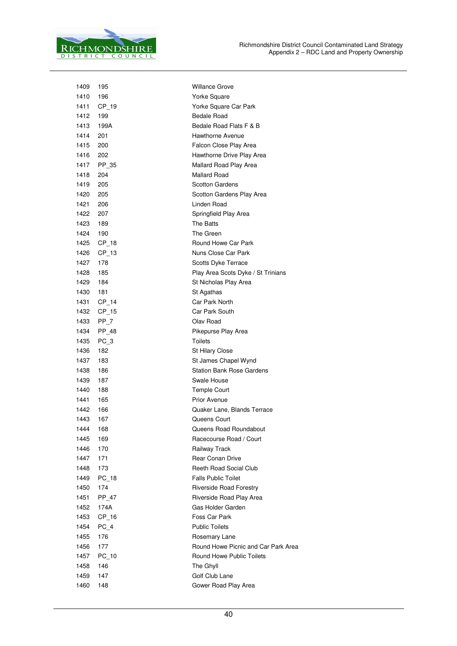

| 1409 | 195        | Willance Grove                      |
|------|------------|-------------------------------------|
| 1410 | 196        | Yorke Square                        |
| 1411 | $CP_19$    | Yorke Square Car Park               |
| 1412 | 199        | Bedale Road                         |
| 1413 | 199A       | Bedale Road Flats F & B             |
| 1414 | 201        | Hawthorne Avenue                    |
| 1415 | 200        | Falcon Close Play Area              |
| 1416 | 202        | Hawthorne Drive Play Area           |
|      | 1417 PP 35 | Mallard Road Play Area              |
| 1418 | 204        | Mallard Road                        |
| 1419 | 205        | <b>Scotton Gardens</b>              |
| 1420 | 205        | Scotton Gardens Play Area           |
| 1421 | 206        | Linden Road                         |
| 1422 | 207        | Springfield Play Area               |
| 1423 | 189        | The Batts                           |
| 1424 | 190        | The Green                           |
| 1425 | $CP_18$    | Round Howe Car Park                 |
| 1426 | $CP_13$    | Nuns Close Car Park                 |
| 1427 | 178        | Scotts Dyke Terrace                 |
| 1428 | 185        | Play Area Scots Dyke / St Trinians  |
| 1429 | 184        | St Nicholas Play Area               |
| 1430 | 181        | St Agathas                          |
| 1431 | CP 14      | Car Park North                      |
| 1432 | $CP_15$    | Car Park South                      |
| 1433 | $PP_7$     | Olav Road                           |
|      | 1434 PP 48 | Pikepurse Play Area                 |
| 1435 | PC_3       | <b>Toilets</b>                      |
| 1436 | 182        | <b>St Hilary Close</b>              |
| 1437 | 183        | St James Chapel Wynd                |
| 1438 | 186        | <b>Station Bank Rose Gardens</b>    |
| 1439 | 187        | Swale House                         |
| 1440 | 188        | <b>Temple Court</b>                 |
| 1441 | 165        | <b>Prior Avenue</b>                 |
| 1442 | 166        | Quaker Lane, Blands Terrace         |
| 1443 | 167        | Queens Court                        |
| 1444 | 168        | Queens Road Roundabout              |
| 1445 | 169        | Racecourse Road / Court             |
| 1446 | 170        | Railway Track                       |
| 1447 | 171        | <b>Rear Conan Drive</b>             |
| 1448 | 173        | <b>Reeth Road Social Club</b>       |
| 1449 | $PC_18$    | <b>Falls Public Toilet</b>          |
| 1450 | 174        | Riverside Road Forestry             |
| 1451 | PP_47      | Riverside Road Play Area            |
| 1452 | 174A       | Gas Holder Garden                   |
| 1453 | $CP_16$    | Foss Car Park                       |
| 1454 | PC 4       | <b>Public Toilets</b>               |
| 1455 | 176        | Rosemary Lane                       |
| 1456 | 177        | Round Howe Picnic and Car Park Area |
| 1457 | $PC_10$    | Round Howe Public Toilets           |
| 1458 | 146        | The Ghyll                           |
| 1459 | 147        | Golf Club Lane                      |
| 1460 | 148        | Gower Road Play Area                |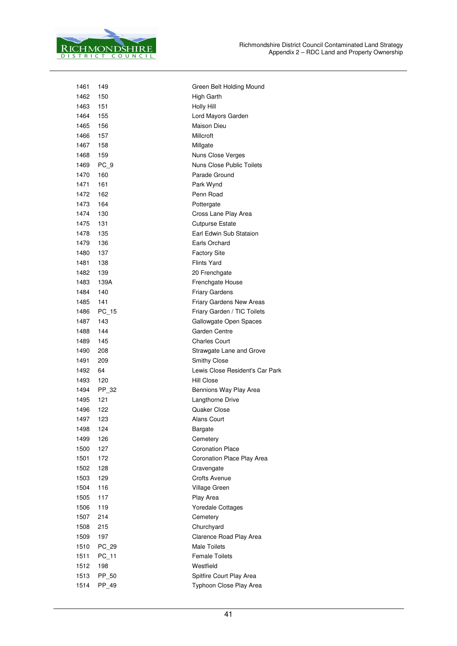

| 1461 | 149   | Green Belt Holding Mound        |
|------|-------|---------------------------------|
| 1462 | 150   | High Garth                      |
| 1463 | 151   | <b>Holly Hill</b>               |
| 1464 | 155   | Lord Mayors Garden              |
| 1465 | 156   | Maison Dieu                     |
| 1466 | 157   | Millcroft                       |
| 1467 | 158   | Millgate                        |
| 1468 | 159   | Nuns Close Verges               |
| 1469 | PC_9  | Nuns Close Public Toilets       |
| 1470 | 160   | Parade Ground                   |
| 1471 | 161   | Park Wynd                       |
| 1472 | 162   | Penn Road                       |
| 1473 | 164   | Pottergate                      |
| 1474 | 130   | Cross Lane Play Area            |
| 1475 | 131   | <b>Cutpurse Estate</b>          |
| 1478 | 135   | Earl Edwin Sub Stataion         |
| 1479 | 136   | Earls Orchard                   |
| 1480 | 137   | <b>Factory Site</b>             |
| 1481 | 138   | <b>Flints Yard</b>              |
| 1482 | 139   | 20 Frenchgate                   |
| 1483 | 139A  | Frenchgate House                |
| 1484 | 140   | <b>Friary Gardens</b>           |
| 1485 | 141   | Friary Gardens New Areas        |
| 1486 | PC 15 | Friary Garden / TIC Toilets     |
| 1487 | 143   | Gallowgate Open Spaces          |
| 1488 | 144   | Garden Centre                   |
| 1489 | 145   | <b>Charles Court</b>            |
| 1490 | 208   | Strawgate Lane and Grove        |
| 1491 | 209   | Smithy Close                    |
| 1492 | 64    | Lewis Close Resident's Car Park |
| 1493 | 120   | <b>Hill Close</b>               |
| 1494 | PP 32 | Bennions Way Play Area          |
| 1495 | 121   | Langthorne Drive                |
| 1496 | 122   | Quaker Close                    |
| 1497 | 123   | <b>Alans Court</b>              |
| 1498 | 124   | Bargate                         |
| 1499 | 126   | Cemetery                        |
| 1500 | 127   | <b>Coronation Place</b>         |
| 1501 | 172   | Coronation Place Play Area      |
| 1502 | 128   | Cravengate                      |
| 1503 | 129   | <b>Crofts Avenue</b>            |
| 1504 | 116   | Village Green                   |
| 1505 | 117   | Play Area                       |
| 1506 | 119   | <b>Yoredale Cottages</b>        |
| 1507 | 214   | Cemetery                        |
| 1508 | 215   | Churchyard                      |
| 1509 | 197   | Clarence Road Play Area         |
| 1510 | PC 29 | <b>Male Toilets</b>             |
| 1511 | PC_11 | <b>Female Toilets</b>           |
| 1512 | 198   | Westfield                       |
| 1513 | PP_50 | Spitfire Court Play Area        |
| 1514 | PP_49 | Typhoon Close Play Area         |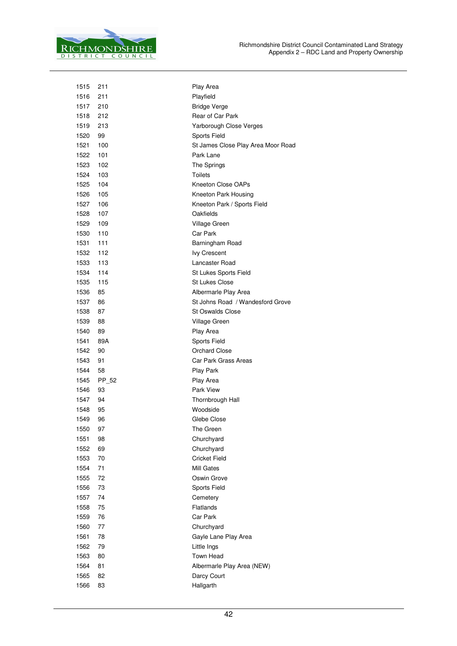

| 1515 | 211   | Play Area                          |  |  |
|------|-------|------------------------------------|--|--|
| 1516 | 211   | Playfield                          |  |  |
| 1517 | 210   | <b>Bridge Verge</b>                |  |  |
| 1518 | 212   | Rear of Car Park                   |  |  |
| 1519 | 213   | Yarborough Close Verges            |  |  |
| 1520 | 99    | Sports Field                       |  |  |
| 1521 | 100   | St James Close Play Area Moor Road |  |  |
| 1522 | 101   | Park Lane                          |  |  |
| 1523 | 102   | The Springs                        |  |  |
| 1524 | 103   | <b>Toilets</b>                     |  |  |
| 1525 | 104   | Kneeton Close OAPs                 |  |  |
| 1526 | 105   | Kneeton Park Housing               |  |  |
| 1527 | 106   | Kneeton Park / Sports Field        |  |  |
| 1528 | 107   | Oakfields                          |  |  |
| 1529 | 109   | Village Green                      |  |  |
| 1530 | 110   | Car Park                           |  |  |
| 1531 | 111   | Barningham Road                    |  |  |
| 1532 | 112   | <b>Ivy Crescent</b>                |  |  |
| 1533 | 113   | Lancaster Road                     |  |  |
| 1534 | 114   | St Lukes Sports Field              |  |  |
| 1535 | 115   | <b>St Lukes Close</b>              |  |  |
| 1536 | 85    | Albermarle Play Area               |  |  |
| 1537 | 86    | St Johns Road / Wandesford Grove   |  |  |
| 1538 | 87    | <b>St Oswalds Close</b>            |  |  |
| 1539 | 88    | Village Green                      |  |  |
| 1540 | 89    | Play Area                          |  |  |
| 1541 | 89A   | <b>Sports Field</b>                |  |  |
| 1542 | 90    | <b>Orchard Close</b>               |  |  |
| 1543 | 91    | Car Park Grass Areas               |  |  |
| 1544 | 58    | Play Park                          |  |  |
| 1545 | PP_52 | Play Area                          |  |  |
| 1546 | 93    | <b>Park View</b>                   |  |  |
| 1547 | 94    | Thornbrough Hall                   |  |  |
| 1548 | 95    | Woodside                           |  |  |
| 1549 | 96    | Glebe Close                        |  |  |
| 1550 | 97    | The Green                          |  |  |
| 1551 | 98    | Churchyard                         |  |  |
| 1552 | 69    | Churchyard                         |  |  |
| 1553 | 70    | <b>Cricket Field</b>               |  |  |
| 1554 | 71    | Mill Gates                         |  |  |
| 1555 | 72    | Oswin Grove                        |  |  |
| 1556 | 73    | Sports Field                       |  |  |
| 1557 | 74    | Cemetery                           |  |  |
| 1558 | 75    | Flatlands                          |  |  |
| 1559 | 76    | Car Park                           |  |  |
| 1560 | 77    | Churchyard                         |  |  |
| 1561 | 78    | Gayle Lane Play Area               |  |  |
| 1562 | 79    | Little Ings                        |  |  |
| 1563 | 80    | Town Head                          |  |  |
| 1564 | 81    | Albermarle Play Area (NEW)         |  |  |
| 1565 | 82    | Darcy Court                        |  |  |
| 1566 | 83    | Hallgarth                          |  |  |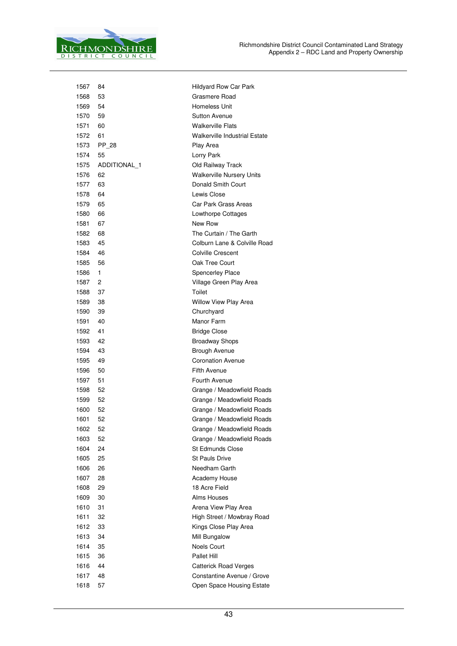

| 1567 | 84           | <b>Hildyard Row Car Park</b>         |
|------|--------------|--------------------------------------|
| 1568 | 53           | Grasmere Road                        |
| 1569 | 54           | Homeless Unit                        |
| 1570 | 59           | <b>Sutton Avenue</b>                 |
| 1571 | 60           | <b>Walkerville Flats</b>             |
| 1572 | 61           | <b>Walkerville Industrial Estate</b> |
| 1573 | PP 28        | Play Area                            |
| 1574 | 55           | Lorry Park                           |
| 1575 | ADDITIONAL 1 | Old Railway Track                    |
| 1576 | 62           | <b>Walkerville Nursery Units</b>     |
| 1577 | 63           | Donald Smith Court                   |
| 1578 | 64           | Lewis Close                          |
| 1579 | 65           | Car Park Grass Areas                 |
| 1580 | 66           | Lowthorpe Cottages                   |
| 1581 | 67           | New Row                              |
| 1582 | 68           | The Curtain / The Garth              |
| 1583 | 45           | Colburn Lane & Colville Road         |
| 1584 | 46           | <b>Colville Crescent</b>             |
| 1585 | 56           | Oak Tree Court                       |
| 1586 | 1            | <b>Spencerley Place</b>              |
| 1587 | 2            | Village Green Play Area              |
| 1588 | 37           | Toilet                               |
| 1589 | 38           | <b>Willow View Play Area</b>         |
| 1590 | 39           | Churchyard                           |
| 1591 | 40           | Manor Farm                           |
| 1592 | 41           | <b>Bridge Close</b>                  |
| 1593 | 42           | <b>Broadway Shops</b>                |
| 1594 | 43           | <b>Brough Avenue</b>                 |
| 1595 | 49           | <b>Coronation Avenue</b>             |
| 1596 | 50           | <b>Fifth Avenue</b>                  |
| 1597 | 51           | Fourth Avenue                        |
| 1598 | 52           | Grange / Meadowfield Roads           |
| 1599 | 52           | Grange / Meadowfield Roads           |
| 1600 | 52           | Grange / Meadowfield Roads           |
| 1601 | 52           | Grange / Meadowfield Roads           |
| 1602 | 52           | Grange / Meadowfield Roads           |
| 1603 | 52           | Grange / Meadowfield Roads           |
| 1604 | 24           | <b>St Edmunds Close</b>              |
| 1605 | 25           | <b>St Pauls Drive</b>                |
| 1606 | 26           | Needham Garth                        |
| 1607 | 28           | Academy House                        |
| 1608 | 29           | 18 Acre Field                        |
| 1609 | 30           | Alms Houses                          |
| 1610 | 31           | Arena View Play Area                 |
| 1611 | 32           | High Street / Mowbray Road           |
| 1612 | 33           | Kings Close Play Area                |
| 1613 | 34           | Mill Bungalow                        |
| 1614 | 35           | <b>Noels Court</b>                   |
| 1615 | 36           | Pallet Hill                          |
| 1616 | 44           | <b>Catterick Road Verges</b>         |
| 1617 | 48           | Constantine Avenue / Grove           |
| 1618 | 57           | Open Space Housing Estate            |
|      |              |                                      |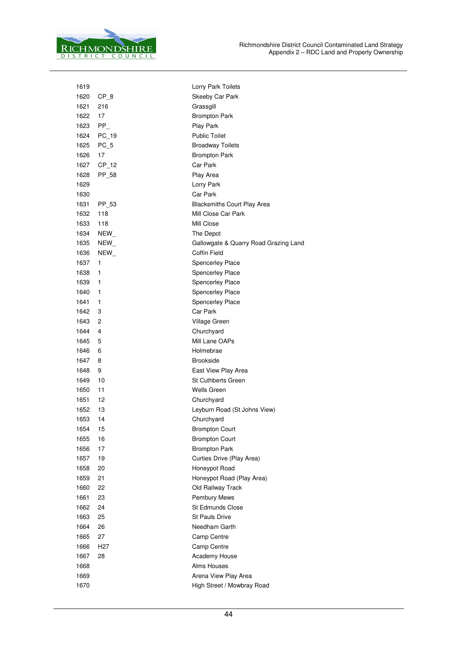

| 1619 |                 | Lorry Park Toilets                    |
|------|-----------------|---------------------------------------|
| 1620 | $CP_8$          | Skeeby Car Park                       |
| 1621 | 216             | Grassgill                             |
| 1622 | 17              | <b>Brompton Park</b>                  |
| 1623 | $PP_$           | Play Park                             |
| 1624 | PC_19           | <b>Public Toilet</b>                  |
| 1625 | $PC_5$          | <b>Broadway Toilets</b>               |
| 1626 | 17              | <b>Brompton Park</b>                  |
| 1627 | $CP_12$         | Car Park                              |
| 1628 | PP_58           | Play Area                             |
| 1629 |                 | Lorry Park                            |
| 1630 |                 | Car Park                              |
| 1631 | PP_53           | <b>Blacksmiths Court Play Area</b>    |
| 1632 | 118             | Mill Close Car Park                   |
| 1633 | 118             | Mill Close                            |
| 1634 | NEW             | The Depot                             |
| 1635 | NEW_            | Gallowgate & Quarry Road Grazing Land |
| 1636 | NEW             | <b>Coffin Field</b>                   |
| 1637 | 1               | <b>Spencerley Place</b>               |
| 1638 | 1               | <b>Spencerley Place</b>               |
| 1639 | 1               | <b>Spencerley Place</b>               |
| 1640 | 1               | <b>Spencerley Place</b>               |
| 1641 | 1               | Spencerley Place                      |
| 1642 | 3               | Car Park                              |
| 1643 | 2               | Village Green                         |
| 1644 | 4               | Churchyard                            |
| 1645 | 5               | Mill Lane OAPs                        |
| 1646 | 6               | Holmebrae                             |
| 1647 | 8               | <b>Brookside</b>                      |
| 1648 | 9               | East View Play Area                   |
| 1649 | 10              | St Cuthberts Green                    |
| 1650 | 11              | Wells Green                           |
| 1651 | 12              | Churchyard                            |
| 1652 | 13              | Leyburn Road (St Johns View)          |
| 1653 | 14              | Churchyard                            |
| 1654 | 15              | <b>Brompton Court</b>                 |
| 1655 | 16              | Brompton Court                        |
| 1656 | 17              | <b>Brompton Park</b>                  |
| 1657 | 19              | Curties Drive (Play Area)             |
| 1658 | 20              | Honeypot Road                         |
| 1659 | 21              | Honeypot Road (Play Area)             |
| 1660 | 22              | Old Railway Track                     |
| 1661 | 23              | Pembury Mews                          |
| 1662 | 24              | <b>St Edmunds Close</b>               |
| 1663 | 25              | <b>St Pauls Drive</b>                 |
| 1664 | 26              | Needham Garth                         |
| 1665 | 27              | Camp Centre                           |
| 1666 | H <sub>27</sub> | Camp Centre                           |
| 1667 | 28              | Academy House                         |
| 1668 |                 | Alms Houses                           |
| 1669 |                 | Arena View Play Area                  |
| 1670 |                 | High Street / Mowbray Road            |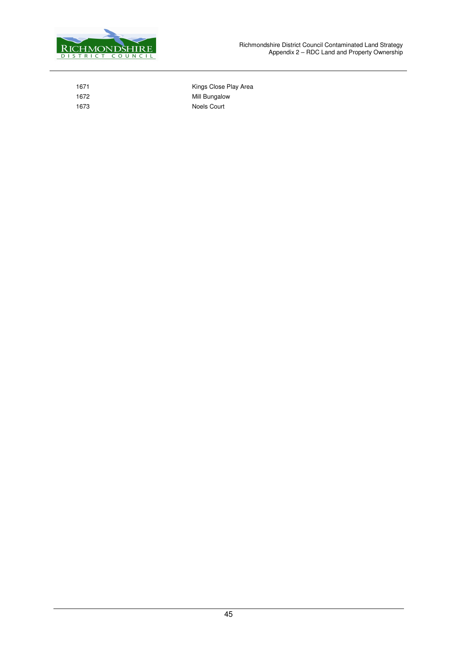

1671 **Kings Close Play Area** 1672 Mill Bungalow 1673 Noels Court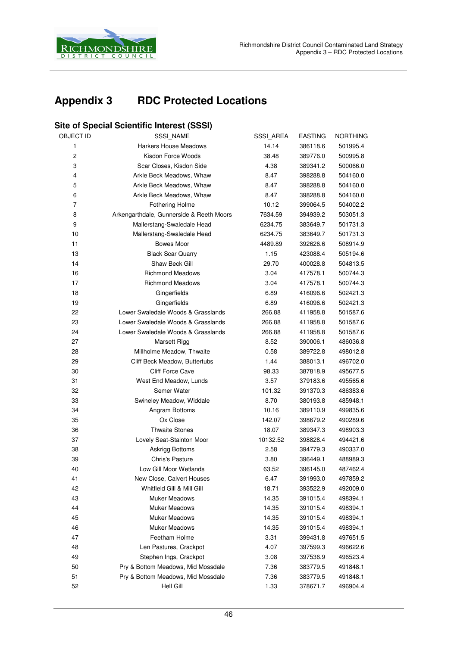

## **Appendix 3 RDC Protected Locations**

#### **Site of Special Scientific Interest (SSSI)**

| OBJECT ID      | SSSI_NAME                                | SSSI_AREA | <b>EASTING</b> | <b>NORTHING</b> |
|----------------|------------------------------------------|-----------|----------------|-----------------|
| $\mathbf{1}$   | <b>Harkers House Meadows</b>             | 14.14     | 386118.6       | 501995.4        |
| $\overline{c}$ | Kisdon Force Woods                       | 38.48     | 389776.0       | 500995.8        |
| 3              | Scar Closes, Kisdon Side                 | 4.38      | 389341.2       | 500066.0        |
| 4              | Arkle Beck Meadows, Whaw                 | 8.47      | 398288.8       | 504160.0        |
| 5              | Arkle Beck Meadows, Whaw                 | 8.47      | 398288.8       | 504160.0        |
| 6              | Arkle Beck Meadows, Whaw                 | 8.47      | 398288.8       | 504160.0        |
| $\overline{7}$ | <b>Fothering Holme</b>                   | 10.12     | 399064.5       | 504002.2        |
| 8              | Arkengarthdale, Gunnerside & Reeth Moors | 7634.59   | 394939.2       | 503051.3        |
| 9              | Mallerstang-Swaledale Head               | 6234.75   | 383649.7       | 501731.3        |
| 10             | Mallerstang-Swaledale Head               | 6234.75   | 383649.7       | 501731.3        |
| 11             | <b>Bowes Moor</b>                        | 4489.89   | 392626.6       | 508914.9        |
| 13             | <b>Black Scar Quarry</b>                 | 1.15      | 423088.4       | 505194.6        |
| 14             | Shaw Beck Gill                           | 29.70     | 400028.8       | 504813.5        |
| 16             | <b>Richmond Meadows</b>                  | 3.04      | 417578.1       | 500744.3        |
| 17             | <b>Richmond Meadows</b>                  | 3.04      | 417578.1       | 500744.3        |
| 18             | Gingerfields                             | 6.89      | 416096.6       | 502421.3        |
| 19             | Gingerfields                             | 6.89      | 416096.6       | 502421.3        |
| 22             | Lower Swaledale Woods & Grasslands       | 266.88    | 411958.8       | 501587.6        |
| 23             | Lower Swaledale Woods & Grasslands       | 266.88    | 411958.8       | 501587.6        |
| 24             | Lower Swaledale Woods & Grasslands       | 266.88    | 411958.8       | 501587.6        |
| 27             | Marsett Rigg                             | 8.52      | 390006.1       | 486036.8        |
| 28             | Millholme Meadow, Thwaite                | 0.58      | 389722.8       | 498012.8        |
| 29             | Cliff Beck Meadow, Buttertubs            | 1.44      | 388013.1       | 496702.0        |
| 30             | <b>Cliff Force Cave</b>                  | 98.33     | 387818.9       | 495677.5        |
| 31             | West End Meadow, Lunds                   | 3.57      | 379183.6       | 495565.6        |
| 32             | Semer Water                              | 101.32    | 391370.3       | 486383.6        |
| 33             | Swineley Meadow, Widdale                 | 8.70      | 380193.8       | 485948.1        |
| 34             | Angram Bottoms                           | 10.16     | 389110.9       | 499835.6        |
| 35             | Ox Close                                 | 142.07    | 398679.2       | 490289.6        |
| 36             | <b>Thwaite Stones</b>                    | 18.07     | 389347.3       | 498903.3        |
| 37             | Lovely Seat-Stainton Moor                | 10132.52  | 398828.4       | 494421.6        |
| 38             | Askrigg Bottoms                          | 2.58      | 394779.3       | 490337.0        |
| 39             | Chris's Pasture                          | 3.80      | 396449.1       | 488989.3        |
| 40             | Low Gill Moor Wetlands                   | 63.52     | 396145.0       | 487462.4        |
| 41             | New Close, Calvert Houses                | 6.47      | 391993.0       | 497859.2        |
| 42             | Whitfield Gill & Mill Gill               | 18.71     | 393522.9       | 492009.0        |
| 43             | <b>Muker Meadows</b>                     | 14.35     | 391015.4       | 498394.1        |
| 44             | <b>Muker Meadows</b>                     | 14.35     | 391015.4       | 498394.1        |
| 45             | <b>Muker Meadows</b>                     | 14.35     | 391015.4       | 498394.1        |
| 46             | <b>Muker Meadows</b>                     | 14.35     | 391015.4       | 498394.1        |
| 47             | Feetham Holme                            | 3.31      | 399431.8       | 497651.5        |
| 48             | Len Pastures, Crackpot                   | 4.07      | 397599.3       | 496622.6        |
| 49             | Stephen Ings, Crackpot                   | 3.08      | 397536.9       | 496523.4        |
| 50             | Pry & Bottom Meadows, Mid Mossdale       | 7.36      | 383779.5       | 491848.1        |
| 51             | Pry & Bottom Meadows, Mid Mossdale       | 7.36      | 383779.5       | 491848.1        |
| 52             | <b>Hell Gill</b>                         | 1.33      | 378671.7       | 496904.4        |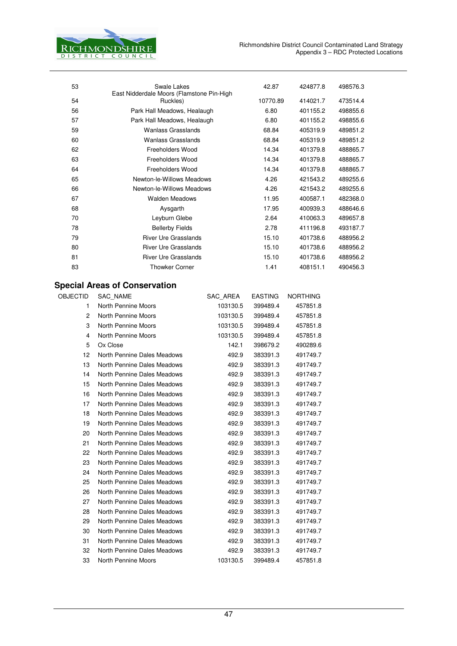

| 53              | Swale Lakes<br>East Nidderdale Moors (Flamstone Pin-High |          | 42.87          | 424877.8        | 498576.3 |
|-----------------|----------------------------------------------------------|----------|----------------|-----------------|----------|
| 54              | Ruckles)                                                 |          | 10770.89       | 414021.7        | 473514.4 |
| 56              | Park Hall Meadows, Healaugh                              |          | 6.80           | 401155.2        | 498855.6 |
| 57              | Park Hall Meadows, Healaugh                              |          | 6.80           | 401155.2        | 498855.6 |
| 59              | <b>Wanlass Grasslands</b>                                |          | 68.84          | 405319.9        | 489851.2 |
| 60              | <b>Wanlass Grasslands</b>                                |          | 68.84          | 405319.9        | 489851.2 |
| 62              | Freeholders Wood                                         |          | 14.34          | 401379.8        | 488865.7 |
| 63              | Freeholders Wood                                         |          | 14.34          | 401379.8        | 488865.7 |
| 64              | Freeholders Wood                                         |          | 14.34          | 401379.8        | 488865.7 |
| 65              | Newton-le-Willows Meadows                                |          | 4.26           | 421543.2        | 489255.6 |
| 66              | Newton-le-Willows Meadows                                |          | 4.26           | 421543.2        | 489255.6 |
| 67              | <b>Walden Meadows</b>                                    |          | 11.95          | 400587.1        | 482368.0 |
| 68              | Aysgarth                                                 |          | 17.95          | 400939.3        | 488646.6 |
| 70              | Leyburn Glebe                                            |          | 2.64           | 410063.3        | 489657.8 |
| 78              | <b>Bellerby Fields</b>                                   |          | 2.78           | 411196.8        | 493187.7 |
| 79              | <b>River Ure Grasslands</b>                              |          | 15.10          | 401738.6        | 488956.2 |
| 80              | <b>River Ure Grasslands</b>                              |          | 15.10          | 401738.6        | 488956.2 |
| 81              | <b>River Ure Grasslands</b>                              |          | 15.10          | 401738.6        | 488956.2 |
| 83              | <b>Thowker Corner</b>                                    |          | 1.41           | 408151.1        | 490456.3 |
|                 |                                                          |          |                |                 |          |
|                 | <b>Special Areas of Conservation</b>                     |          |                |                 |          |
| <b>OBJECTID</b> | <b>SAC NAME</b>                                          | SAC AREA | <b>EASTING</b> | <b>NORTHING</b> |          |
| 1               | <b>North Pennine Moors</b>                               | 103130.5 | 399489.4       | 457851.8        |          |
| 2               | North Pennine Moors                                      | 103130.5 | 399489.4       | 457851.8        |          |
| 3               | North Pennine Moors                                      | 103130.5 | 399489.4       | 457851.8        |          |
| 4               | North Pennine Moors                                      | 103130.5 | 399489.4       | 457851.8        |          |
| 5               | Ox Close                                                 | 142.1    | 398679.2       | 490289.6        |          |
| 12              | North Pennine Dales Meadows                              | 492.9    | 383391.3       | 491749.7        |          |
| 13              | North Pennine Dales Meadows                              | 492.9    | 383391.3       | 491749.7        |          |
| 14              | North Pennine Dales Meadows                              | 492.9    | 383391.3       | 491749.7        |          |
| 15              | North Pennine Dales Meadows                              | 492.9    | 383391.3       | 491749.7        |          |
| 16              | North Pennine Dales Meadows                              | 492.9    | 383391.3       | 491749.7        |          |
| 17              | North Pennine Dales Meadows                              | 492.9    | 383391.3       | 491749.7        |          |
| 18              | North Pennine Dales Meadows                              | 492.9    | 383391.3       | 491749.7        |          |
| 19              | North Pennine Dales Meadows                              | 492.9    | 383391.3       | 491749.7        |          |
| 20              | North Pennine Dales Meadows                              | 492.9    | 383391.3       | 491749.7        |          |
| 21              | North Pennine Dales Meadows                              | 492.9    | 383391.3       | 491749.7        |          |
| 22              | North Pennine Dales Meadows                              | 492.9    | 383391.3       | 491749.7        |          |
| 23              | North Pennine Dales Meadows                              | 492.9    | 383391.3       | 491749.7        |          |
| 24              | North Pennine Dales Meadows                              | 492.9    | 383391.3       | 491749.7        |          |
| 25              | North Pennine Dales Meadows                              | 492.9    | 383391.3       | 491749.7        |          |
| 26              | North Pennine Dales Meadows                              | 492.9    | 383391.3       | 491749.7        |          |
| 27              | North Pennine Dales Meadows                              | 492.9    | 383391.3       | 491749.7        |          |
| 28              | North Pennine Dales Meadows                              | 492.9    | 383391.3       | 491749.7        |          |
| 29              | North Pennine Dales Meadows                              | 492.9    | 383391.3       | 491749.7        |          |
| 30              | North Pennine Dales Meadows                              | 492.9    | 383391.3       | 491749.7        |          |
| 31              | North Pennine Dales Meadows                              | 492.9    | 383391.3       | 491749.7        |          |
| 32              | North Pennine Dales Meadows                              | 492.9    | 383391.3       | 491749.7        |          |
| 33              | North Pennine Moors                                      | 103130.5 | 399489.4       | 457851.8        |          |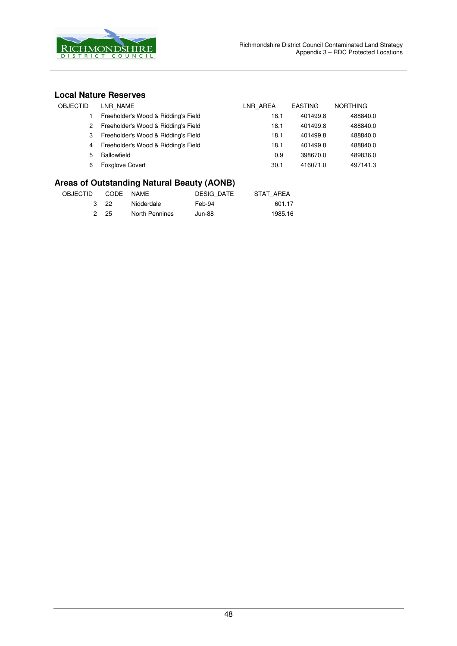

#### **Local Nature Reserves**

| OBJECTID | LNR NAME                              | LNR AREA | <b>EASTING</b> | <b>NORTHING</b> |
|----------|---------------------------------------|----------|----------------|-----------------|
|          | Freeholder's Wood & Ridding's Field   | 18.1     | 401499.8       | 488840.0        |
| 2        | Freeholder's Wood & Ridding's Field   | 18.1     | 401499.8       | 488840.0        |
| 3        | Freeholder's Wood & Ridding's Field   | 18.1     | 401499.8       | 488840.0        |
|          | 4 Freeholder's Wood & Ridding's Field | 18.1     | 401499.8       | 488840.0        |
| 5        | Ballowfield                           | 0.9      | 398670.0       | 489836.0        |
| 6        | <b>Foxglove Covert</b>                | 30.1     | 416071.0       | 497141.3        |

## **Areas of Outstanding Natural Beauty (AONB)**

| OBJECTID | CODE NAME |                | DESIG DATE | STAT AREA |
|----------|-----------|----------------|------------|-----------|
|          | 3 22      | Nidderdale     | Feb-94     | 601.17    |
|          | 2 25      | North Pennines | Jun-88     | 1985.16   |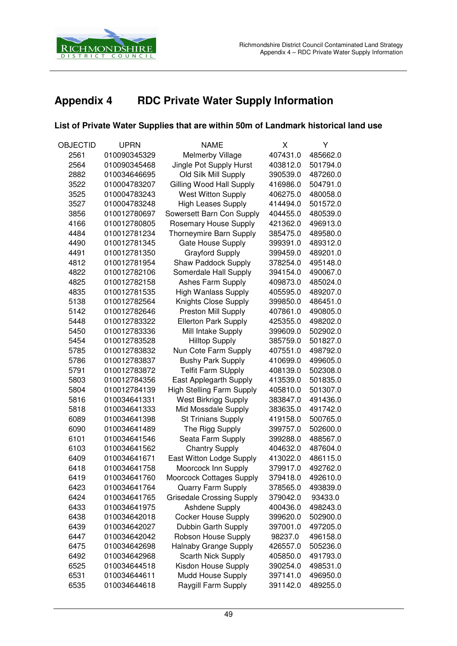

## **Appendix 4 RDC Private Water Supply Information**

#### **List of Private Water Supplies that are within 50m of Landmark historical land use**

| OBJECTID | <b>UPRN</b>  | <b>NAME</b>                      | Χ        | Υ        |
|----------|--------------|----------------------------------|----------|----------|
| 2561     | 010090345329 | Melmerby Village                 | 407431.0 | 485662.0 |
| 2564     | 010090345468 | Jingle Pot Supply Hurst          | 403812.0 | 501794.0 |
| 2882     | 010034646695 | Old Silk Mill Supply             | 390539.0 | 487260.0 |
| 3522     | 010004783207 | Gilling Wood Hall Supply         | 416986.0 | 504791.0 |
| 3525     | 010004783243 | <b>West Witton Supply</b>        | 406275.0 | 480058.0 |
| 3527     | 010004783248 | <b>High Leases Supply</b>        | 414494.0 | 501572.0 |
| 3856     | 010012780697 | Sowersett Barn Con Supply        | 404455.0 | 480539.0 |
| 4166     | 010012780805 | Rosemary House Supply            | 421362.0 | 496913.0 |
| 4484     | 010012781234 | Thorneymire Barn Supply          | 385475.0 | 489580.0 |
| 4490     | 010012781345 | Gate House Supply                | 399391.0 | 489312.0 |
| 4491     | 010012781350 | <b>Grayford Supply</b>           | 399459.0 | 489201.0 |
| 4812     | 010012781954 | Shaw Paddock Supply              | 378254.0 | 495148.0 |
| 4822     | 010012782106 | Somerdale Hall Supply            | 394154.0 | 490067.0 |
| 4825     | 010012782158 | Ashes Farm Supply                | 409873.0 | 485024.0 |
| 4835     | 010012781535 | <b>High Wanlass Supply</b>       | 405595.0 | 489207.0 |
| 5138     | 010012782564 | Knights Close Supply             | 399850.0 | 486451.0 |
| 5142     | 010012782646 | Preston Mill Supply              | 407861.0 | 490805.0 |
| 5448     | 010012783322 | <b>Ellerton Park Supply</b>      | 425355.0 | 498202.0 |
| 5450     | 010012783336 | Mill Intake Supply               | 399609.0 | 502902.0 |
| 5454     | 010012783528 | <b>Hilltop Supply</b>            | 385759.0 | 501827.0 |
| 5785     | 010012783832 | Nun Cote Farm Supply             | 407551.0 | 498792.0 |
| 5786     | 010012783837 | <b>Bushy Park Supply</b>         | 410699.0 | 499605.0 |
| 5791     | 010012783872 | <b>Telfit Farm SUpply</b>        | 408139.0 | 502308.0 |
| 5803     | 010012784356 | East Applegarth Supply           | 413539.0 | 501835.0 |
| 5804     | 010012784139 | <b>High Stelling Farm Supply</b> | 405810.0 | 501307.0 |
| 5816     | 010034641331 | <b>West Birkrigg Supply</b>      | 383847.0 | 491436.0 |
| 5818     | 010034641333 | Mid Mossdale Supply              | 383635.0 | 491742.0 |
| 6089     | 010034641398 | <b>St Trinians Supply</b>        | 419158.0 | 500765.0 |
| 6090     | 010034641489 | The Rigg Supply                  | 399757.0 | 502600.0 |
| 6101     | 010034641546 | Seata Farm Supply                | 399288.0 | 488567.0 |
| 6103     | 010034641562 | <b>Chantry Supply</b>            | 404632.0 | 487604.0 |
| 6409     | 010034641671 | East Witton Lodge Supply         | 413022.0 | 486115.0 |
| 6418     | 010034641758 | Moorcock Inn Supply              | 379917.0 | 492762.0 |
| 6419     | 010034641760 | <b>Moorcock Cottages Supply</b>  | 379418.0 | 492610.0 |
| 6423     | 010034641764 | Quarry Farm Supply               | 378565.0 | 493839.0 |
| 6424     | 010034641765 | <b>Grisedale Crossing Supply</b> | 379042.0 | 93433.0  |
| 6433     | 010034641975 | Ashdene Supply                   | 400436.0 | 498243.0 |
| 6438     | 010034642018 | <b>Cocker House Supply</b>       | 399620.0 | 502900.0 |
| 6439     | 010034642027 | Dubbin Garth Supply              | 397001.0 | 497205.0 |
| 6447     | 010034642042 | Robson House Supply              | 98237.0  | 496158.0 |
| 6475     | 010034642698 | <b>Halnaby Grange Supply</b>     | 426557.0 | 505236.0 |
| 6492     | 010034642968 | Scarth Nick Supply               | 405850.0 | 491793.0 |
| 6525     | 010034644518 | Kisdon House Supply              | 390254.0 | 498531.0 |
| 6531     | 010034644611 | Mudd House Supply                | 397141.0 | 496950.0 |
| 6535     | 010034644618 | Raygill Farm Supply              | 391142.0 | 489255.0 |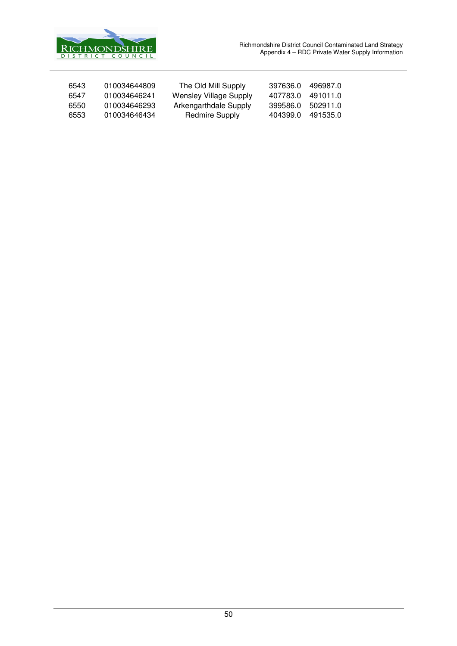

| 6543 | 010034644809 | The Old Mill Supply           | 397636.0 | 496987.0 |
|------|--------------|-------------------------------|----------|----------|
| 6547 | 010034646241 | <b>Wensley Village Supply</b> | 407783.0 | 491011.0 |
| 6550 | 010034646293 | Arkengarthdale Supply         | 399586.0 | 502911.0 |
| 6553 | 010034646434 | Redmire Supply                | 404399.0 | 491535.0 |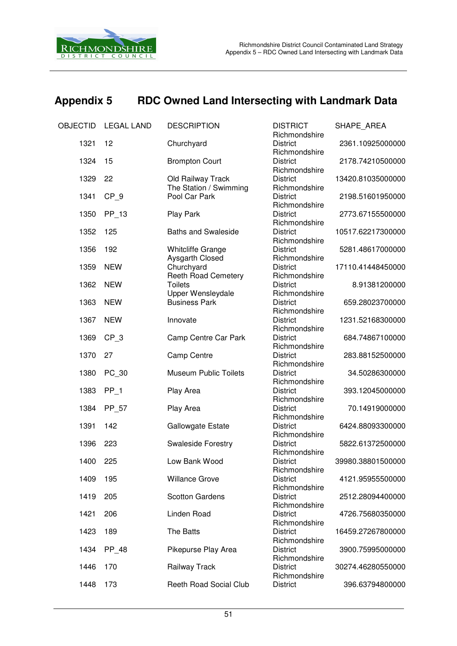

## **Appendix 5 RDC Owned Land Intersecting with Landmark Data**

| OBJECTID | <b>LEGAL LAND</b> | <b>DESCRIPTION</b>                          | <b>DISTRICT</b><br>Richmondshire | SHAPE_AREA        |
|----------|-------------------|---------------------------------------------|----------------------------------|-------------------|
| 1321     | 12                | Churchyard                                  | <b>District</b><br>Richmondshire | 2361.10925000000  |
| 1324     | 15                | <b>Brompton Court</b>                       | <b>District</b><br>Richmondshire | 2178.74210500000  |
| 1329     | 22                | Old Railway Track<br>The Station / Swimming | <b>District</b><br>Richmondshire | 13420.81035000000 |
| 1341     | CP <sub>9</sub>   | Pool Car Park                               | <b>District</b><br>Richmondshire | 2198.51601950000  |
| 1350     | $PP_13$           | Play Park                                   | <b>District</b><br>Richmondshire | 2773.67155500000  |
| 1352     | 125               | <b>Baths and Swaleside</b>                  | <b>District</b><br>Richmondshire | 10517.62217300000 |
| 1356     | 192               | <b>Whitcliffe Grange</b><br>Aysgarth Closed | <b>District</b><br>Richmondshire | 5281.48617000000  |
| 1359     | <b>NEW</b>        | Churchyard                                  | <b>District</b>                  | 17110.41448450000 |
| 1362     | <b>NEW</b>        | Reeth Road Cemetery<br><b>Toilets</b>       | Richmondshire<br><b>District</b> | 8.91381200000     |
| 1363     | <b>NEW</b>        | Upper Wensleydale<br><b>Business Park</b>   | Richmondshire<br><b>District</b> | 659.28023700000   |
| 1367     | <b>NEW</b>        | Innovate                                    | Richmondshire<br><b>District</b> | 1231.52168300000  |
| 1369     | $CP_3$            | Camp Centre Car Park                        | Richmondshire<br><b>District</b> | 684.74867100000   |
| 1370     | 27                | Camp Centre                                 | Richmondshire<br><b>District</b> | 283.88152500000   |
| 1380     | PC_30             | <b>Museum Public Toilets</b>                | Richmondshire<br><b>District</b> | 34.50286300000    |
| 1383     | $PP_1$            | Play Area                                   | Richmondshire<br><b>District</b> | 393.12045000000   |
| 1384     | PP_57             | Play Area                                   | Richmondshire<br><b>District</b> | 70.14919000000    |
| 1391     | 142               | Gallowgate Estate                           | Richmondshire<br><b>District</b> | 6424.88093300000  |
| 1396     | 223               | Swaleside Forestry                          | Richmondshire<br><b>District</b> | 5822.61372500000  |
| 1400     | 225               | Low Bank Wood                               | Richmondshire<br><b>District</b> | 39980.38801500000 |
| 1409     | 195               | <b>Willance Grove</b>                       | Richmondshire<br><b>District</b> | 4121.95955500000  |
| 1419     | 205               | <b>Scotton Gardens</b>                      | Richmondshire<br><b>District</b> | 2512.28094400000  |
| 1421     | 206               | Linden Road                                 | Richmondshire<br><b>District</b> | 4726.75680350000  |
| 1423     | 189               | The Batts                                   | Richmondshire<br><b>District</b> | 16459.27267800000 |
| 1434     | PP_48             | Pikepurse Play Area                         | Richmondshire<br><b>District</b> | 3900.75995000000  |
| 1446     | 170               | Railway Track                               | Richmondshire<br><b>District</b> | 30274.46280550000 |
| 1448     | 173               | <b>Reeth Road Social Club</b>               | Richmondshire<br><b>District</b> | 396.63794800000   |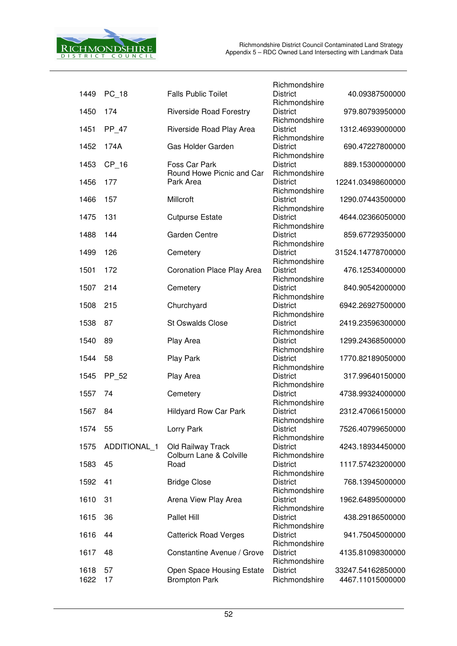

|      |              |                                    | Richmondshire                    |                   |
|------|--------------|------------------------------------|----------------------------------|-------------------|
| 1449 | $PC_{18}$    | <b>Falls Public Toilet</b>         | <b>District</b>                  | 40.09387500000    |
|      |              |                                    | Richmondshire                    |                   |
| 1450 | 174          | <b>Riverside Road Forestry</b>     | <b>District</b>                  | 979.80793950000   |
|      |              |                                    | Richmondshire                    |                   |
| 1451 | PP_47        | Riverside Road Play Area           | <b>District</b>                  | 1312.46939000000  |
|      |              |                                    | Richmondshire                    |                   |
| 1452 | 174A         | Gas Holder Garden                  | <b>District</b>                  | 690.47227800000   |
|      |              |                                    | Richmondshire                    |                   |
| 1453 | $CP_16$      | Foss Car Park                      | <b>District</b>                  | 889.15300000000   |
|      |              | Round Howe Picnic and Car          | Richmondshire                    |                   |
| 1456 | 177          | Park Area                          | <b>District</b>                  | 12241.03498600000 |
|      | 157          | Millcroft                          | Richmondshire<br><b>District</b> | 1290.07443500000  |
| 1466 |              |                                    | Richmondshire                    |                   |
| 1475 | 131          | <b>Cutpurse Estate</b>             | <b>District</b>                  | 4644.02366050000  |
|      |              |                                    | Richmondshire                    |                   |
| 1488 | 144          | <b>Garden Centre</b>               | <b>District</b>                  | 859.67729350000   |
|      |              |                                    | Richmondshire                    |                   |
| 1499 | 126          | Cemetery                           | <b>District</b>                  | 31524.14778700000 |
|      |              |                                    | Richmondshire                    |                   |
| 1501 | 172          | Coronation Place Play Area         | <b>District</b>                  | 476.12534000000   |
|      |              |                                    | Richmondshire                    |                   |
| 1507 | 214          | Cemetery                           | <b>District</b>                  | 840.90542000000   |
|      |              |                                    | Richmondshire                    |                   |
| 1508 | 215          | Churchyard                         | <b>District</b>                  | 6942.26927500000  |
|      |              |                                    | Richmondshire                    |                   |
| 1538 | 87           | <b>St Oswalds Close</b>            | <b>District</b>                  | 2419.23596300000  |
|      |              |                                    | Richmondshire                    |                   |
| 1540 | 89           | Play Area                          | <b>District</b>                  | 1299.24368500000  |
|      |              |                                    | Richmondshire                    |                   |
| 1544 | 58           | Play Park                          | <b>District</b>                  | 1770.82189050000  |
|      |              |                                    | Richmondshire                    |                   |
| 1545 | PP_52        | Play Area                          | <b>District</b>                  | 317.99640150000   |
|      | 74           |                                    | Richmondshire<br><b>District</b> | 4738.99324000000  |
| 1557 |              | Cemetery                           | Richmondshire                    |                   |
| 1567 | 84           | <b>Hildyard Row Car Park</b>       | <b>District</b>                  | 2312.47066150000  |
|      |              |                                    | Richmondshire                    |                   |
| 1574 | 55           | Lorry Park                         | <b>District</b>                  | 7526.40799650000  |
|      |              |                                    | Richmondshire                    |                   |
| 1575 | ADDITIONAL_1 | Old Railway Track                  | <b>District</b>                  | 4243.18934450000  |
|      |              | <b>Colburn Lane &amp; Colville</b> | Richmondshire                    |                   |
| 1583 | 45           | Road                               | <b>District</b>                  | 1117.57423200000  |
|      |              |                                    | Richmondshire                    |                   |
| 1592 | 41           | <b>Bridge Close</b>                | <b>District</b>                  | 768.13945000000   |
|      |              |                                    | Richmondshire                    |                   |
| 1610 | 31           | Arena View Play Area               | <b>District</b>                  | 1962.64895000000  |
|      |              |                                    | Richmondshire                    |                   |
| 1615 | 36           | Pallet Hill                        | <b>District</b>                  | 438.29186500000   |
|      |              |                                    | Richmondshire                    |                   |
| 1616 | 44           | <b>Catterick Road Verges</b>       | <b>District</b>                  | 941.75045000000   |
|      |              |                                    | Richmondshire                    |                   |
| 1617 | 48           | Constantine Avenue / Grove         | <b>District</b>                  | 4135.81098300000  |
|      |              |                                    | Richmondshire<br><b>District</b> |                   |
| 1618 | 57           | Open Space Housing Estate          |                                  | 33247.54162850000 |
| 1622 | 17           | <b>Brompton Park</b>               | Richmondshire                    | 4467.11015000000  |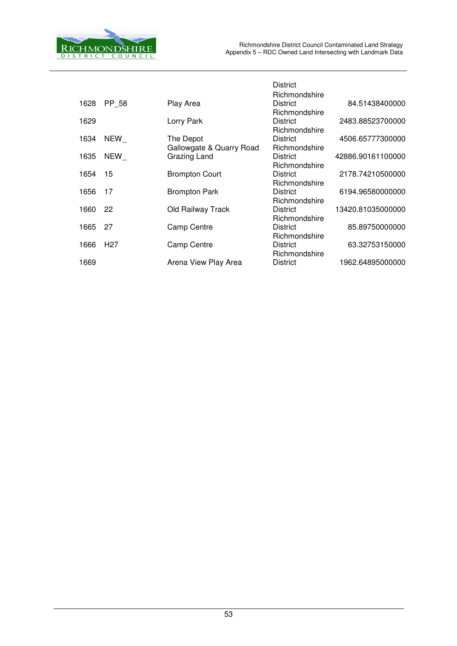

|      |                 |                          | <b>District</b>                                   |                   |
|------|-----------------|--------------------------|---------------------------------------------------|-------------------|
| 1628 | PP 58           | Play Area                | Richmondshire<br><b>District</b><br>Richmondshire | 84.51438400000    |
| 1629 |                 | Lorry Park               | <b>District</b><br>Richmondshire                  | 2483.88523700000  |
| 1634 | NEW             | The Depot                | <b>District</b>                                   | 4506.65777300000  |
|      |                 | Gallowgate & Quarry Road | Richmondshire                                     |                   |
| 1635 | NEW             | Grazing Land             | <b>District</b>                                   | 42886.90161100000 |
|      |                 |                          | Richmondshire                                     |                   |
| 1654 | -15             | <b>Brompton Court</b>    | <b>District</b>                                   | 2178.74210500000  |
|      |                 |                          | Richmondshire                                     |                   |
| 1656 | 17              | <b>Brompton Park</b>     | <b>District</b>                                   | 6194.96580000000  |
|      |                 |                          | Richmondshire                                     |                   |
| 1660 | -22             | Old Railway Track        | <b>District</b>                                   | 13420.81035000000 |
|      |                 |                          | Richmondshire                                     |                   |
| 1665 | -27             | <b>Camp Centre</b>       | <b>District</b>                                   | 85.89750000000    |
|      |                 |                          | Richmondshire                                     |                   |
| 1666 | H <sub>27</sub> | <b>Camp Centre</b>       | <b>District</b>                                   | 63.32753150000    |
|      |                 |                          | Richmondshire                                     |                   |
| 1669 |                 | Arena View Play Area     | <b>District</b>                                   | 1962.64895000000  |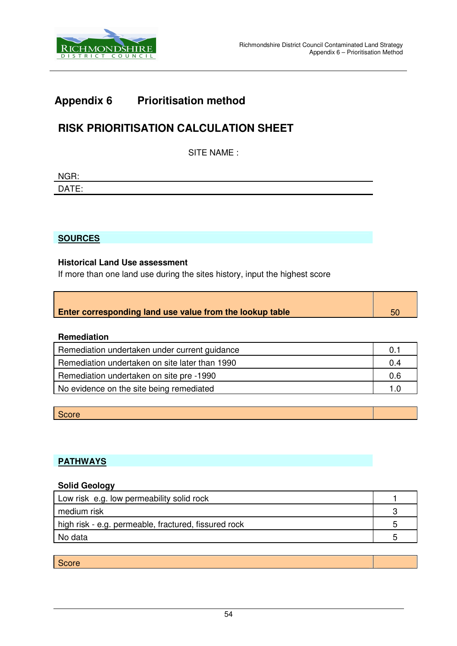

## **Appendix 6 Prioritisation method**

## **RISK PRIORITISATION CALCULATION SHEET**

SITE NAME :

| NGR:                       |  |
|----------------------------|--|
| $\Gamma$ ATE.<br>--<br>- - |  |

**SOURCES**

#### **Historical Land Use assessment**

If more than one land use during the sites history, input the highest score

| <b>Enter corresponding land use value from the lookup table</b> |  |
|-----------------------------------------------------------------|--|

#### **Remediation**

| Remediation undertaken under current guidance  | 0.1 |
|------------------------------------------------|-----|
| Remediation undertaken on site later than 1990 | 0.4 |
| Remediation undertaken on site pre -1990       | 0.6 |
| No evidence on the site being remediated       | 1.0 |

**Score** 

#### **PATHWAYS**

#### **Solid Geology**

| Low risk e.g. low permeability solid rock            |    |
|------------------------------------------------------|----|
| medium risk                                          |    |
| high risk - e.g. permeable, fractured, fissured rock | 'n |
| No data                                              |    |

**Score**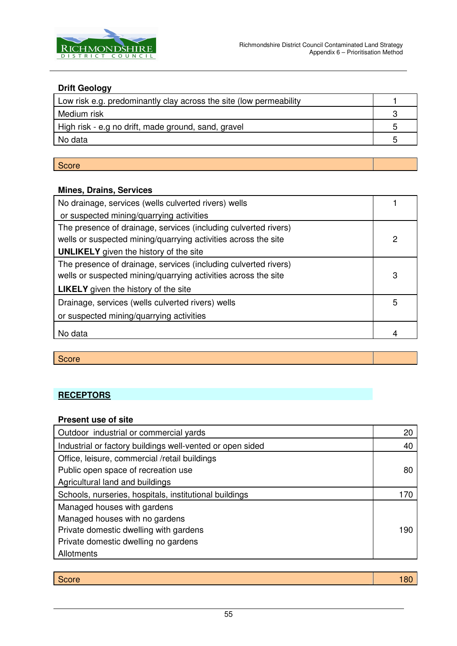

#### **Drift Geology**

| Low risk e.g. predominantly clay across the site (low permeability |  |
|--------------------------------------------------------------------|--|
| Medium risk                                                        |  |
| High risk - e.g no drift, made ground, sand, gravel                |  |
| No data                                                            |  |
|                                                                    |  |

#### **Score**

#### **Mines, Drains, Services**

| No drainage, services (wells culverted rivers) wells                                                                                                                               |   |
|------------------------------------------------------------------------------------------------------------------------------------------------------------------------------------|---|
| or suspected mining/quarrying activities                                                                                                                                           |   |
| The presence of drainage, services (including culverted rivers)<br>wells or suspected mining/quarrying activities across the site<br><b>UNLIKELY</b> given the history of the site | 2 |
| The presence of drainage, services (including culverted rivers)<br>wells or suspected mining/quarrying activities across the site<br><b>LIKELY</b> given the history of the site   | 3 |
| Drainage, services (wells culverted rivers) wells<br>or suspected mining/quarrying activities                                                                                      | 5 |
| No data                                                                                                                                                                            |   |

**Score** 

#### **RECEPTORS**

#### **Present use of site**

| Outdoor industrial or commercial yards                    | 20  |
|-----------------------------------------------------------|-----|
| Industrial or factory buildings well-vented or open sided | 40  |
| Office, leisure, commercial /retail buildings             |     |
| Public open space of recreation use                       | 80  |
| Agricultural land and buildings                           |     |
| Schools, nurseries, hospitals, institutional buildings    | 170 |
| Managed houses with gardens                               |     |
| Managed houses with no gardens                            |     |
| Private domestic dwelling with gardens                    | 190 |
| Private domestic dwelling no gardens                      |     |
| Allotments                                                |     |

| $C_{\text{max}}$<br><b>PCOLE</b> | . |
|----------------------------------|---|
|                                  |   |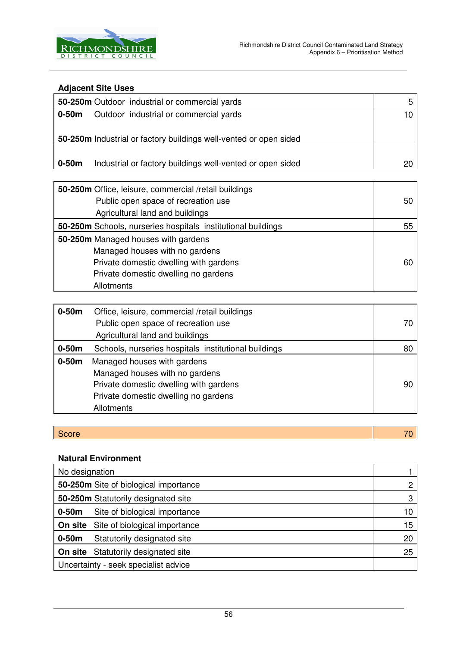

#### **Adjacent Site Uses**

| 50-250m Outdoor industrial or commercial yards                       | 5  |
|----------------------------------------------------------------------|----|
| $0-50m$<br>Outdoor industrial or commercial yards                    | 10 |
|                                                                      |    |
| 50-250m Industrial or factory buildings well-vented or open sided    |    |
|                                                                      |    |
| $0-50m$<br>Industrial or factory buildings well-vented or open sided | 20 |
|                                                                      |    |
| 50-250m Office, leisure, commercial /retail buildings                |    |
| Public open space of recreation use                                  | 50 |
| Agricultural land and buildings                                      |    |
| 50-250m Schools, nurseries hospitals institutional buildings         | 55 |
| 50-250m Managed houses with gardens                                  |    |
| Managed houses with no gardens                                       |    |
| Private domestic dwelling with gardens                               | 60 |
| Private domestic dwelling no gardens                                 |    |
| Allotments                                                           |    |
|                                                                      |    |

| $0-50m$ | Office, leisure, commercial /retail buildings        |    |
|---------|------------------------------------------------------|----|
|         | Public open space of recreation use                  | 70 |
|         | Agricultural land and buildings                      |    |
| $0-50m$ | Schools, nurseries hospitals institutional buildings | 80 |
| $0-50m$ | Managed houses with gardens                          |    |
|         | Managed houses with no gardens                       |    |
|         | Private domestic dwelling with gardens               | 90 |
|         | Private domestic dwelling no gardens                 |    |
|         | Allotments                                           |    |

| $\sim$<br>$-0.000$ | ____ |
|--------------------|------|
| - 1<br>$\sim$      |      |
|                    |      |

#### **Natural Environment**

| No designation                               |    |
|----------------------------------------------|----|
| 50-250m Site of biological importance        |    |
| 50-250m Statutorily designated site          |    |
| Site of biological importance<br>$0-50m$     | 10 |
| <b>On site</b> Site of biological importance | 15 |
| Statutorily designated site<br>$0-50m$       | 20 |
| <b>On site</b> Statutorily designated site   | 25 |
| Uncertainty - seek specialist advice         |    |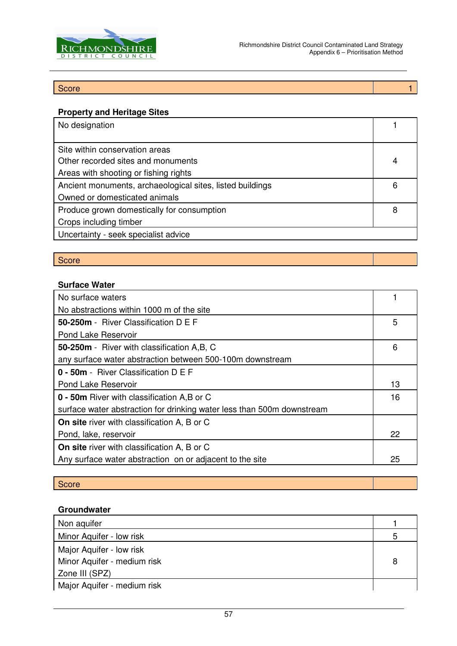

#### $\operatorname{\mathsf{Score}}$  . The second contribution of the second contribution  $1$

#### **Property and Heritage Sites**

| No designation                                            |   |
|-----------------------------------------------------------|---|
|                                                           |   |
| Site within conservation areas                            |   |
| Other recorded sites and monuments                        | 4 |
| Areas with shooting or fishing rights                     |   |
| Ancient monuments, archaeological sites, listed buildings | 6 |
| Owned or domesticated animals                             |   |
| Produce grown domestically for consumption                | 8 |
| Crops including timber                                    |   |
| Uncertainty - seek specialist advice                      |   |
|                                                           |   |

## Score

#### **Surface Water**

| No surface waters                                                      |   |
|------------------------------------------------------------------------|---|
| No abstractions within 1000 m of the site                              |   |
| 50-250m - River Classification D E F                                   | 5 |
| Pond Lake Reservoir                                                    |   |
| 50-250m - River with classification A, B, C                            | 6 |
| any surface water abstraction between 500-100m downstream              |   |
| 0 - 50m - River Classification D E F                                   |   |
| <b>Pond Lake Reservoir</b>                                             |   |
| 0 - 50m River with classification A,B or C                             |   |
| surface water abstraction for drinking water less than 500m downstream |   |
| <b>On site</b> river with classification A, B or C                     |   |
| Pond, lake, reservoir                                                  |   |
| On site river with classification A, B or C                            |   |
| Any surface water abstraction on or adjacent to the site               |   |

#### **Score**

#### **Groundwater**

| Non aquifer                 |   |
|-----------------------------|---|
| Minor Aquifer - low risk    | 5 |
| Major Aquifer - low risk    |   |
| Minor Aquifer - medium risk |   |
| Zone III (SPZ)              |   |
| Major Aquifer - medium risk |   |